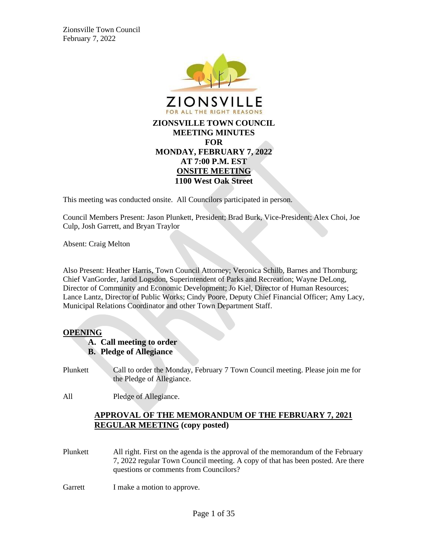

This meeting was conducted onsite. All Councilors participated in person.

Council Members Present: Jason Plunkett, President; Brad Burk, Vice-President; Alex Choi, Joe Culp, Josh Garrett, and Bryan Traylor

Absent: Craig Melton

Also Present: Heather Harris, Town Council Attorney; Veronica Schilb, Barnes and Thornburg; Chief VanGorder, Jarod Logsdon, Superintendent of Parks and Recreation; Wayne DeLong, Director of Community and Economic Development; Jo Kiel, Director of Human Resources; Lance Lantz, Director of Public Works; Cindy Poore, Deputy Chief Financial Officer; Amy Lacy, Municipal Relations Coordinator and other Town Department Staff.

#### **OPENING**

- **A. Call meeting to order**
- **B. Pledge of Allegiance**
- Plunkett Call to order the Monday, February 7 Town Council meeting. Please join me for the Pledge of Allegiance.

All Pledge of Allegiance.

## **APPROVAL OF THE MEMORANDUM OF THE FEBRUARY 7, 2021 REGULAR MEETING (copy posted)**

- Plunkett All right. First on the agenda is the approval of the memorandum of the February 7, 2022 regular Town Council meeting. A copy of that has been posted. Are there questions or comments from Councilors?
- Garrett I make a motion to approve.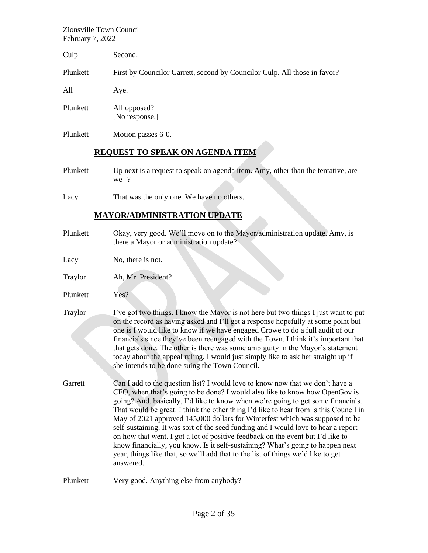| Culp     | Second.                                                                                    |
|----------|--------------------------------------------------------------------------------------------|
| Plunkett | First by Councilor Garrett, second by Councilor Culp. All those in favor?                  |
| All      | Aye.                                                                                       |
| Plunkett | All opposed?<br>[No response.]                                                             |
| Plunkett | Motion passes 6-0.                                                                         |
|          | <b>REQUEST TO SPEAK ON AGENDA ITEM</b>                                                     |
| Plunkett | Up next is a request to speak on agenda item. Amy, other than the tentative, are<br>$we-?$ |

Lacy That was the only one. We have no others.

## **MAYOR/ADMINISTRATION UPDATE**

Plunkett Okay, very good. We'll move on to the Mayor/administration update. Amy, is there a Mayor or administration update?

Lacy No, there is not.

- Traylor Ah, Mr. President?
- Plunkett Yes?
- Traylor I've got two things. I know the Mayor is not here but two things I just want to put on the record as having asked and I'll get a response hopefully at some point but one is I would like to know if we have engaged Crowe to do a full audit of our financials since they've been reengaged with the Town. I think it's important that that gets done. The other is there was some ambiguity in the Mayor's statement today about the appeal ruling. I would just simply like to ask her straight up if she intends to be done suing the Town Council.
- Garrett Can I add to the question list? I would love to know now that we don't have a CFO, when that's going to be done? I would also like to know how OpenGov is going? And, basically, I'd like to know when we're going to get some financials. That would be great. I think the other thing I'd like to hear from is this Council in May of 2021 approved 145,000 dollars for Winterfest which was supposed to be self-sustaining. It was sort of the seed funding and I would love to hear a report on how that went. I got a lot of positive feedback on the event but I'd like to know financially, you know. Is it self-sustaining? What's going to happen next year, things like that, so we'll add that to the list of things we'd like to get answered.

Plunkett Very good. Anything else from anybody?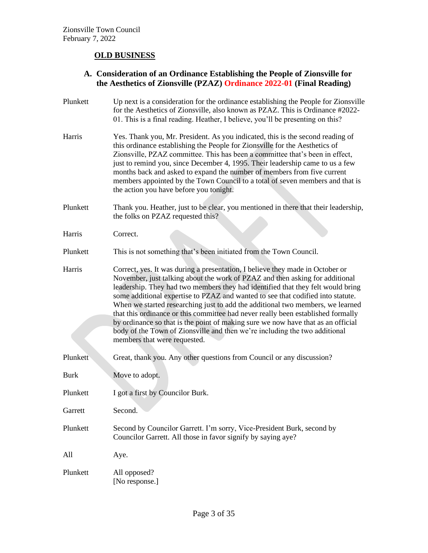# **OLD BUSINESS**

## **A. Consideration of an Ordinance Establishing the People of Zionsville for the Aesthetics of Zionsville (PZAZ) Ordinance 2022-01 (Final Reading)**

| Plunkett    | Up next is a consideration for the ordinance establishing the People for Zionsville<br>for the Aesthetics of Zionsville, also known as PZAZ. This is Ordinance #2022-<br>01. This is a final reading. Heather, I believe, you'll be presenting on this?                                                                                                                                                                                                                                                                                                                                                                                                                                                     |
|-------------|-------------------------------------------------------------------------------------------------------------------------------------------------------------------------------------------------------------------------------------------------------------------------------------------------------------------------------------------------------------------------------------------------------------------------------------------------------------------------------------------------------------------------------------------------------------------------------------------------------------------------------------------------------------------------------------------------------------|
| Harris      | Yes. Thank you, Mr. President. As you indicated, this is the second reading of<br>this ordinance establishing the People for Zionsville for the Aesthetics of<br>Zionsville, PZAZ committee. This has been a committee that's been in effect,<br>just to remind you, since December 4, 1995. Their leadership came to us a few<br>months back and asked to expand the number of members from five current<br>members appointed by the Town Council to a total of seven members and that is<br>the action you have before you tonight.                                                                                                                                                                       |
| Plunkett    | Thank you. Heather, just to be clear, you mentioned in there that their leadership,<br>the folks on PZAZ requested this?                                                                                                                                                                                                                                                                                                                                                                                                                                                                                                                                                                                    |
| Harris      | Correct.                                                                                                                                                                                                                                                                                                                                                                                                                                                                                                                                                                                                                                                                                                    |
| Plunkett    | This is not something that's been initiated from the Town Council.                                                                                                                                                                                                                                                                                                                                                                                                                                                                                                                                                                                                                                          |
| Harris      | Correct, yes. It was during a presentation, I believe they made in October or<br>November, just talking about the work of PZAZ and then asking for additional<br>leadership. They had two members they had identified that they felt would bring<br>some additional expertise to PZAZ and wanted to see that codified into statute.<br>When we started researching just to add the additional two members, we learned<br>that this ordinance or this committee had never really been established formally<br>by ordinance so that is the point of making sure we now have that as an official<br>body of the Town of Zionsville and then we're including the two additional<br>members that were requested. |
| Plunkett    | Great, thank you. Any other questions from Council or any discussion?                                                                                                                                                                                                                                                                                                                                                                                                                                                                                                                                                                                                                                       |
| <b>Burk</b> | Move to adopt.                                                                                                                                                                                                                                                                                                                                                                                                                                                                                                                                                                                                                                                                                              |
| Plunkett    | I got a first by Councilor Burk.                                                                                                                                                                                                                                                                                                                                                                                                                                                                                                                                                                                                                                                                            |
| Garrett     | Second.                                                                                                                                                                                                                                                                                                                                                                                                                                                                                                                                                                                                                                                                                                     |
| Plunkett    | Second by Councilor Garrett. I'm sorry, Vice-President Burk, second by<br>Councilor Garrett. All those in favor signify by saying aye?                                                                                                                                                                                                                                                                                                                                                                                                                                                                                                                                                                      |
| All         | Aye.                                                                                                                                                                                                                                                                                                                                                                                                                                                                                                                                                                                                                                                                                                        |
| Plunkett    | All opposed?<br>[No response.]                                                                                                                                                                                                                                                                                                                                                                                                                                                                                                                                                                                                                                                                              |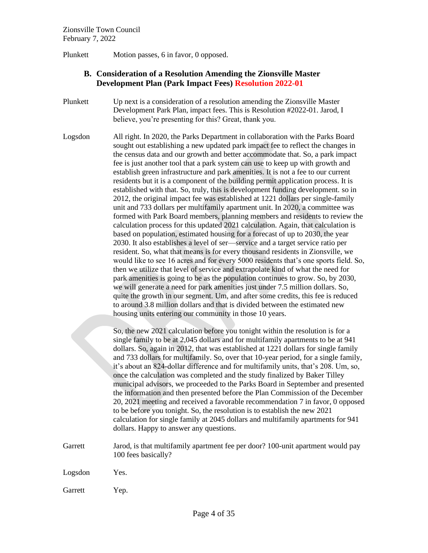Plunkett Motion passes, 6 in favor, 0 opposed.

### **B. Consideration of a Resolution Amending the Zionsville Master Development Plan (Park Impact Fees) Resolution 2022-01**

- Plunkett Up next is a consideration of a resolution amending the Zionsville Master Development Park Plan, impact fees. This is Resolution #2022-01. Jarod, I believe, you're presenting for this? Great, thank you.
- Logsdon All right. In 2020, the Parks Department in collaboration with the Parks Board sought out establishing a new updated park impact fee to reflect the changes in the census data and our growth and better accommodate that. So, a park impact fee is just another tool that a park system can use to keep up with growth and establish green infrastructure and park amenities. It is not a fee to our current residents but it is a component of the building permit application process. It is established with that. So, truly, this is development funding development. so in 2012, the original impact fee was established at 1221 dollars per single-family unit and 733 dollars per multifamily apartment unit. In 2020, a committee was formed with Park Board members, planning members and residents to review the calculation process for this updated 2021 calculation. Again, that calculation is based on population, estimated housing for a forecast of up to 2030, the year 2030. It also establishes a level of ser—service and a target service ratio per resident. So, what that means is for every thousand residents in Zionsville, we would like to see 16 acres and for every 5000 residents that's one sports field. So, then we utilize that level of service and extrapolate kind of what the need for park amenities is going to be as the population continues to grow. So, by 2030, we will generate a need for park amenities just under 7.5 million dollars. So, quite the growth in our segment. Um, and after some credits, this fee is reduced to around 3.8 million dollars and that is divided between the estimated new housing units entering our community in those 10 years.

So, the new 2021 calculation before you tonight within the resolution is for a single family to be at 2,045 dollars and for multifamily apartments to be at 941 dollars. So, again in 2012, that was established at 1221 dollars for single family and 733 dollars for multifamily. So, over that 10-year period, for a single family, it's about an 824-dollar difference and for multifamily units, that's 208. Um, so, once the calculation was completed and the study finalized by Baker Tilley municipal advisors, we proceeded to the Parks Board in September and presented the information and then presented before the Plan Commission of the December 20, 2021 meeting and received a favorable recommendation 7 in favor, 0 opposed to be before you tonight. So, the resolution is to establish the new 2021 calculation for single family at 2045 dollars and multifamily apartments for 941 dollars. Happy to answer any questions.

- Garrett Jarod, is that multifamily apartment fee per door? 100-unit apartment would pay 100 fees basically?
- Logsdon Yes.
- Garrett Yep.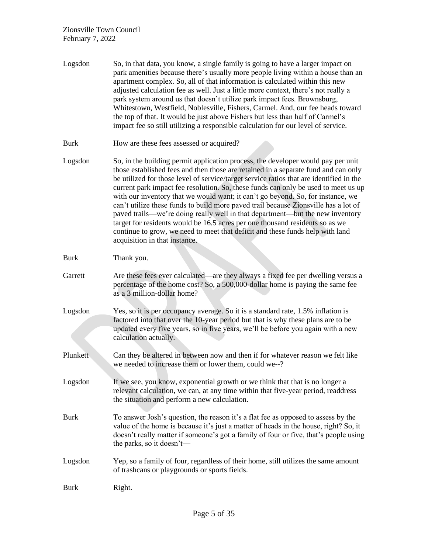| Logsdon     | So, in that data, you know, a single family is going to have a larger impact on<br>park amenities because there's usually more people living within a house than an<br>apartment complex. So, all of that information is calculated within this new<br>adjusted calculation fee as well. Just a little more context, there's not really a<br>park system around us that doesn't utilize park impact fees. Brownsburg,<br>Whitestown, Westfield, Noblesville, Fishers, Carmel. And, our fee heads toward<br>the top of that. It would be just above Fishers but less than half of Carmel's<br>impact fee so still utilizing a responsible calculation for our level of service.                                                                                                                                       |
|-------------|----------------------------------------------------------------------------------------------------------------------------------------------------------------------------------------------------------------------------------------------------------------------------------------------------------------------------------------------------------------------------------------------------------------------------------------------------------------------------------------------------------------------------------------------------------------------------------------------------------------------------------------------------------------------------------------------------------------------------------------------------------------------------------------------------------------------|
| <b>Burk</b> | How are these fees assessed or acquired?                                                                                                                                                                                                                                                                                                                                                                                                                                                                                                                                                                                                                                                                                                                                                                             |
| Logsdon     | So, in the building permit application process, the developer would pay per unit<br>those established fees and then those are retained in a separate fund and can only<br>be utilized for those level of service/target service ratios that are identified in the<br>current park impact fee resolution. So, these funds can only be used to meet us up<br>with our inventory that we would want; it can't go beyond. So, for instance, we<br>can't utilize these funds to build more paved trail because Zionsville has a lot of<br>paved trails—we're doing really well in that department—but the new inventory<br>target for residents would be 16.5 acres per one thousand residents so as we<br>continue to grow, we need to meet that deficit and these funds help with land<br>acquisition in that instance. |
| <b>Burk</b> | Thank you.                                                                                                                                                                                                                                                                                                                                                                                                                                                                                                                                                                                                                                                                                                                                                                                                           |
| Garrett     | Are these fees ever calculated—are they always a fixed fee per dwelling versus a<br>percentage of the home cost? So, a 500,000-dollar home is paying the same fee<br>as a 3 million-dollar home?                                                                                                                                                                                                                                                                                                                                                                                                                                                                                                                                                                                                                     |
| Logsdon     | Yes, so it is per occupancy average. So it is a standard rate, 1.5% inflation is<br>factored into that over the 10-year period but that is why these plans are to be<br>updated every five years, so in five years, we'll be before you again with a new<br>calculation actually.                                                                                                                                                                                                                                                                                                                                                                                                                                                                                                                                    |
| Plunkett    | Can they be altered in between now and then if for whatever reason we felt like<br>we needed to increase them or lower them, could we--?                                                                                                                                                                                                                                                                                                                                                                                                                                                                                                                                                                                                                                                                             |
| Logsdon     | If we see, you know, exponential growth or we think that that is no longer a<br>relevant calculation, we can, at any time within that five-year period, readdress<br>the situation and perform a new calculation.                                                                                                                                                                                                                                                                                                                                                                                                                                                                                                                                                                                                    |
| <b>Burk</b> | To answer Josh's question, the reason it's a flat fee as opposed to assess by the<br>value of the home is because it's just a matter of heads in the house, right? So, it<br>doesn't really matter if someone's got a family of four or five, that's people using<br>the parks, so it doesn't-                                                                                                                                                                                                                                                                                                                                                                                                                                                                                                                       |
| Logsdon     | Yep, so a family of four, regardless of their home, still utilizes the same amount<br>of trashcans or playgrounds or sports fields.                                                                                                                                                                                                                                                                                                                                                                                                                                                                                                                                                                                                                                                                                  |
| <b>Burk</b> | Right.                                                                                                                                                                                                                                                                                                                                                                                                                                                                                                                                                                                                                                                                                                                                                                                                               |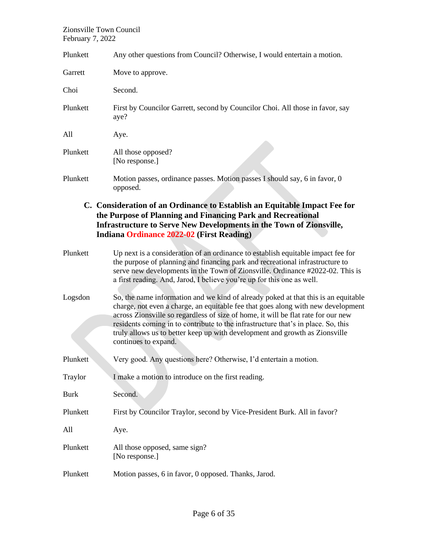| Plunkett    | Any other questions from Council? Otherwise, I would entertain a motion.                                                                                                                                                                                                                                                                                                                                                                                |
|-------------|---------------------------------------------------------------------------------------------------------------------------------------------------------------------------------------------------------------------------------------------------------------------------------------------------------------------------------------------------------------------------------------------------------------------------------------------------------|
| Garrett     | Move to approve.                                                                                                                                                                                                                                                                                                                                                                                                                                        |
| Choi        | Second.                                                                                                                                                                                                                                                                                                                                                                                                                                                 |
| Plunkett    | First by Councilor Garrett, second by Councilor Choi. All those in favor, say<br>aye?                                                                                                                                                                                                                                                                                                                                                                   |
| All         | Aye.                                                                                                                                                                                                                                                                                                                                                                                                                                                    |
| Plunkett    | All those opposed?<br>[No response.]                                                                                                                                                                                                                                                                                                                                                                                                                    |
| Plunkett    | Motion passes, ordinance passes. Motion passes I should say, 6 in favor, 0<br>opposed.                                                                                                                                                                                                                                                                                                                                                                  |
|             | C. Consideration of an Ordinance to Establish an Equitable Impact Fee for<br>the Purpose of Planning and Financing Park and Recreational<br><b>Infrastructure to Serve New Developments in the Town of Zionsville,</b><br><b>Indiana Ordinance 2022-02 (First Reading)</b>                                                                                                                                                                              |
| Plunkett    | Up next is a consideration of an ordinance to establish equitable impact fee for<br>the purpose of planning and financing park and recreational infrastructure to<br>serve new developments in the Town of Zionsville. Ordinance #2022-02. This is<br>a first reading. And, Jarod, I believe you're up for this one as well.                                                                                                                            |
| Logsdon     | So, the name information and we kind of already poked at that this is an equitable<br>charge, not even a charge, an equitable fee that goes along with new development<br>across Zionsville so regardless of size of home, it will be flat rate for our new<br>residents coming in to contribute to the infrastructure that's in place. So, this<br>truly allows us to better keep up with development and growth as Zionsville<br>continues to expand. |
| Plunkett    | Very good. Any questions here? Otherwise, I'd entertain a motion.                                                                                                                                                                                                                                                                                                                                                                                       |
| Traylor     | I make a motion to introduce on the first reading.                                                                                                                                                                                                                                                                                                                                                                                                      |
| <b>Burk</b> | Second.                                                                                                                                                                                                                                                                                                                                                                                                                                                 |
| Plunkett    | First by Councilor Traylor, second by Vice-President Burk. All in favor?                                                                                                                                                                                                                                                                                                                                                                                |
| All         | Aye.                                                                                                                                                                                                                                                                                                                                                                                                                                                    |
| Plunkett    | All those opposed, same sign?<br>[No response.]                                                                                                                                                                                                                                                                                                                                                                                                         |
| Plunkett    | Motion passes, 6 in favor, 0 opposed. Thanks, Jarod.                                                                                                                                                                                                                                                                                                                                                                                                    |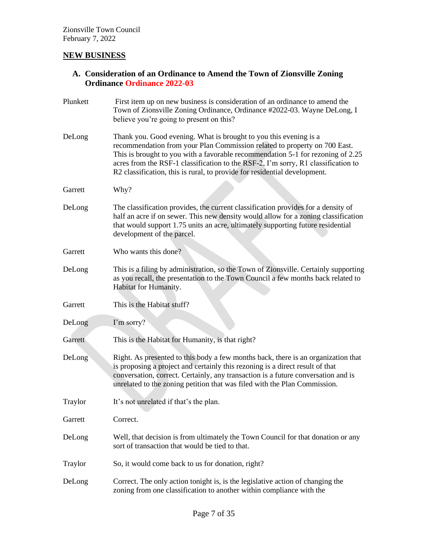## **NEW BUSINESS**

**A. Consideration of an Ordinance to Amend the Town of Zionsville Zoning Ordinance Ordinance 2022-03**

| Plunkett | First item up on new business is consideration of an ordinance to amend the<br>Town of Zionsville Zoning Ordinance, Ordinance #2022-03. Wayne DeLong, I<br>believe you're going to present on this?                                                                                                                                                                                                 |
|----------|-----------------------------------------------------------------------------------------------------------------------------------------------------------------------------------------------------------------------------------------------------------------------------------------------------------------------------------------------------------------------------------------------------|
| DeLong   | Thank you. Good evening. What is brought to you this evening is a<br>recommendation from your Plan Commission related to property on 700 East.<br>This is brought to you with a favorable recommendation 5-1 for rezoning of 2.25<br>acres from the RSF-1 classification to the RSF-2, I'm sorry, R1 classification to<br>R2 classification, this is rural, to provide for residential development. |
| Garrett  | Why?                                                                                                                                                                                                                                                                                                                                                                                                |
| DeLong   | The classification provides, the current classification provides for a density of<br>half an acre if on sewer. This new density would allow for a zoning classification<br>that would support 1.75 units an acre, ultimately supporting future residential<br>development of the parcel.                                                                                                            |
| Garrett  | Who wants this done?                                                                                                                                                                                                                                                                                                                                                                                |
| DeLong   | This is a filing by administration, so the Town of Zionsville. Certainly supporting<br>as you recall, the presentation to the Town Council a few months back related to<br>Habitat for Humanity.                                                                                                                                                                                                    |
| Garrett  | This is the Habitat stuff?                                                                                                                                                                                                                                                                                                                                                                          |
| DeLong   | I'm sorry?                                                                                                                                                                                                                                                                                                                                                                                          |
| Garrett  | This is the Habitat for Humanity, is that right?                                                                                                                                                                                                                                                                                                                                                    |
| DeLong   | Right. As presented to this body a few months back, there is an organization that<br>is proposing a project and certainly this rezoning is a direct result of that<br>conversation, correct. Certainly, any transaction is a future conversation and is<br>unrelated to the zoning petition that was filed with the Plan Commission.                                                                |
| Traylor  | It's not unrelated if that's the plan.                                                                                                                                                                                                                                                                                                                                                              |
| Garrett  | Correct.                                                                                                                                                                                                                                                                                                                                                                                            |
| DeLong   | Well, that decision is from ultimately the Town Council for that donation or any<br>sort of transaction that would be tied to that.                                                                                                                                                                                                                                                                 |
| Traylor  | So, it would come back to us for donation, right?                                                                                                                                                                                                                                                                                                                                                   |
| DeLong   | Correct. The only action tonight is, is the legislative action of changing the<br>zoning from one classification to another within compliance with the                                                                                                                                                                                                                                              |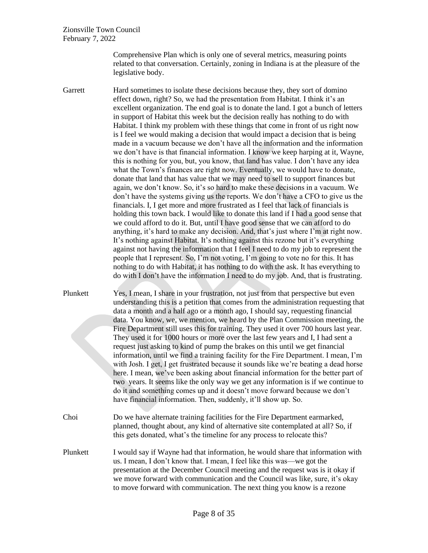Comprehensive Plan which is only one of several metrics, measuring points related to that conversation. Certainly, zoning in Indiana is at the pleasure of the legislative body.

Garrett Hard sometimes to isolate these decisions because they, they sort of domino effect down, right? So, we had the presentation from Habitat. I think it's an excellent organization. The end goal is to donate the land. I got a bunch of letters in support of Habitat this week but the decision really has nothing to do with Habitat. I think my problem with these things that come in front of us right now is I feel we would making a decision that would impact a decision that is being made in a vacuum because we don't have all the information and the information we don't have is that financial information. I know we keep harping at it, Wayne, this is nothing for you, but, you know, that land has value. I don't have any idea what the Town's finances are right now. Eventually, we would have to donate, donate that land that has value that we may need to sell to support finances but again, we don't know. So, it's so hard to make these decisions in a vacuum. We don't have the systems giving us the reports. We don't have a CFO to give us the financials. I, I get more and more frustrated as I feel that lack of financials is holding this town back. I would like to donate this land if I had a good sense that we could afford to do it. But, until I have good sense that we can afford to do anything, it's hard to make any decision. And, that's just where I'm at right now. It's nothing against Habitat. It's nothing against this rezone but it's everything against not having the information that I feel I need to do my job to represent the people that I represent. So, I'm not voting, I'm going to vote no for this. It has nothing to do with Habitat, it has nothing to do with the ask. It has everything to do with I don't have the information I need to do my job. And, that is frustrating.

- Plunkett Yes, I mean, I share in your frustration, not just from that perspective but even understanding this is a petition that comes from the administration requesting that data a month and a half ago or a month ago, I should say, requesting financial data. You know, we, we mention, we heard by the Plan Commission meeting, the Fire Department still uses this for training. They used it over 700 hours last year. They used it for 1000 hours or more over the last few years and I, I had sent a request just asking to kind of pump the brakes on this until we get financial information, until we find a training facility for the Fire Department. I mean, I'm with Josh. I get, I get frustrated because it sounds like we're beating a dead horse here. I mean, we've been asking about financial information for the better part of two years. It seems like the only way we get any information is if we continue to do it and something comes up and it doesn't move forward because we don't have financial information. Then, suddenly, it'll show up. So.
- Choi Do we have alternate training facilities for the Fire Department earmarked, planned, thought about, any kind of alternative site contemplated at all? So, if this gets donated, what's the timeline for any process to relocate this?
- Plunkett I would say if Wayne had that information, he would share that information with us. I mean, I don't know that. I mean, I feel like this was—we got the presentation at the December Council meeting and the request was is it okay if we move forward with communication and the Council was like, sure, it's okay to move forward with communication. The next thing you know is a rezone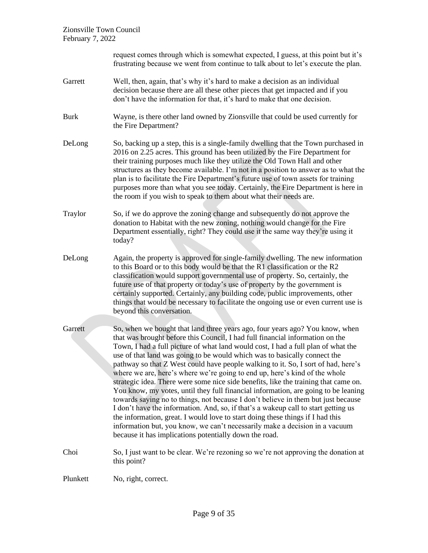|             | request comes through which is somewhat expected, I guess, at this point but it's<br>frustrating because we went from continue to talk about to let's execute the plan.                                                                                                                                                                                                                                                                                                                                                                                                                                                                                                                                                                                                                                                                                                                                                                                                                                                                                                               |
|-------------|---------------------------------------------------------------------------------------------------------------------------------------------------------------------------------------------------------------------------------------------------------------------------------------------------------------------------------------------------------------------------------------------------------------------------------------------------------------------------------------------------------------------------------------------------------------------------------------------------------------------------------------------------------------------------------------------------------------------------------------------------------------------------------------------------------------------------------------------------------------------------------------------------------------------------------------------------------------------------------------------------------------------------------------------------------------------------------------|
| Garrett     | Well, then, again, that's why it's hard to make a decision as an individual<br>decision because there are all these other pieces that get impacted and if you<br>don't have the information for that, it's hard to make that one decision.                                                                                                                                                                                                                                                                                                                                                                                                                                                                                                                                                                                                                                                                                                                                                                                                                                            |
| <b>Burk</b> | Wayne, is there other land owned by Zionsville that could be used currently for<br>the Fire Department?                                                                                                                                                                                                                                                                                                                                                                                                                                                                                                                                                                                                                                                                                                                                                                                                                                                                                                                                                                               |
| DeLong      | So, backing up a step, this is a single-family dwelling that the Town purchased in<br>2016 on 2.25 acres. This ground has been utilized by the Fire Department for<br>their training purposes much like they utilize the Old Town Hall and other<br>structures as they become available. I'm not in a position to answer as to what the<br>plan is to facilitate the Fire Department's future use of town assets for training<br>purposes more than what you see today. Certainly, the Fire Department is here in<br>the room if you wish to speak to them about what their needs are.                                                                                                                                                                                                                                                                                                                                                                                                                                                                                                |
| Traylor     | So, if we do approve the zoning change and subsequently do not approve the<br>donation to Habitat with the new zoning, nothing would change for the Fire<br>Department essentially, right? They could use it the same way they're using it<br>today?                                                                                                                                                                                                                                                                                                                                                                                                                                                                                                                                                                                                                                                                                                                                                                                                                                  |
| DeLong      | Again, the property is approved for single-family dwelling. The new information<br>to this Board or to this body would be that the R1 classification or the R2<br>classification would support governmental use of property. So, certainly, the<br>future use of that property or today's use of property by the government is<br>certainly supported. Certainly, any building code, public improvements, other<br>things that would be necessary to facilitate the ongoing use or even current use is<br>beyond this conversation.                                                                                                                                                                                                                                                                                                                                                                                                                                                                                                                                                   |
| Garrett     | So, when we bought that land three years ago, four years ago? You know, when<br>that was brought before this Council, I had full financial information on the<br>Town, I had a full picture of what land would cost, I had a full plan of what the<br>use of that land was going to be would which was to basically connect the<br>pathway so that Z West could have people walking to it. So, I sort of had, here's<br>where we are, here's where we're going to end up, here's kind of the whole<br>strategic idea. There were some nice side benefits, like the training that came on.<br>You know, my votes, until they full financial information, are going to be leaning<br>towards saying no to things, not because I don't believe in them but just because<br>I don't have the information. And, so, if that's a wakeup call to start getting us<br>the information, great. I would love to start doing these things if I had this<br>information but, you know, we can't necessarily make a decision in a vacuum<br>because it has implications potentially down the road. |
| Choi        | So, I just want to be clear. We're rezoning so we're not approving the donation at<br>this point?                                                                                                                                                                                                                                                                                                                                                                                                                                                                                                                                                                                                                                                                                                                                                                                                                                                                                                                                                                                     |
| Plunkett    | No, right, correct.                                                                                                                                                                                                                                                                                                                                                                                                                                                                                                                                                                                                                                                                                                                                                                                                                                                                                                                                                                                                                                                                   |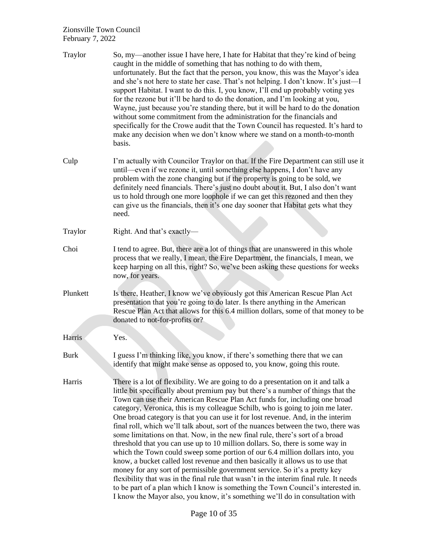| Traylor     | So, my—another issue I have here, I hate for Habitat that they're kind of being<br>caught in the middle of something that has nothing to do with them,<br>unfortunately. But the fact that the person, you know, this was the Mayor's idea<br>and she's not here to state her case. That's not helping. I don't know. It's just—I<br>support Habitat. I want to do this. I, you know, I'll end up probably voting yes<br>for the rezone but it'll be hard to do the donation, and I'm looking at you,<br>Wayne, just because you're standing there, but it will be hard to do the donation<br>without some commitment from the administration for the financials and<br>specifically for the Crowe audit that the Town Council has requested. It's hard to<br>make any decision when we don't know where we stand on a month-to-month<br>basis.                                                                                                                                                                                                                                                                                                                                                   |
|-------------|---------------------------------------------------------------------------------------------------------------------------------------------------------------------------------------------------------------------------------------------------------------------------------------------------------------------------------------------------------------------------------------------------------------------------------------------------------------------------------------------------------------------------------------------------------------------------------------------------------------------------------------------------------------------------------------------------------------------------------------------------------------------------------------------------------------------------------------------------------------------------------------------------------------------------------------------------------------------------------------------------------------------------------------------------------------------------------------------------------------------------------------------------------------------------------------------------|
| Culp        | I'm actually with Councilor Traylor on that. If the Fire Department can still use it<br>until—even if we rezone it, until something else happens, I don't have any<br>problem with the zone changing but if the property is going to be sold, we<br>definitely need financials. There's just no doubt about it. But, I also don't want<br>us to hold through one more loophole if we can get this rezoned and then they<br>can give us the financials, then it's one day sooner that Habitat gets what they<br>need.                                                                                                                                                                                                                                                                                                                                                                                                                                                                                                                                                                                                                                                                              |
| Traylor     | Right. And that's exactly—                                                                                                                                                                                                                                                                                                                                                                                                                                                                                                                                                                                                                                                                                                                                                                                                                                                                                                                                                                                                                                                                                                                                                                        |
| Choi        | I tend to agree. But, there are a lot of things that are unanswered in this whole<br>process that we really, I mean, the Fire Department, the financials, I mean, we<br>keep harping on all this, right? So, we've been asking these questions for weeks<br>now, for years.                                                                                                                                                                                                                                                                                                                                                                                                                                                                                                                                                                                                                                                                                                                                                                                                                                                                                                                       |
| Plunkett    | Is there, Heather, I know we've obviously got this American Rescue Plan Act<br>presentation that you're going to do later. Is there anything in the American<br>Rescue Plan Act that allows for this 6.4 million dollars, some of that money to be<br>donated to not-for-profits or?                                                                                                                                                                                                                                                                                                                                                                                                                                                                                                                                                                                                                                                                                                                                                                                                                                                                                                              |
| Harris      | Yes.                                                                                                                                                                                                                                                                                                                                                                                                                                                                                                                                                                                                                                                                                                                                                                                                                                                                                                                                                                                                                                                                                                                                                                                              |
| <b>Burk</b> | I guess I'm thinking like, you know, if there's something there that we can<br>identify that might make sense as opposed to, you know, going this route.                                                                                                                                                                                                                                                                                                                                                                                                                                                                                                                                                                                                                                                                                                                                                                                                                                                                                                                                                                                                                                          |
| Harris      | There is a lot of flexibility. We are going to do a presentation on it and talk a<br>little bit specifically about premium pay but there's a number of things that the<br>Town can use their American Rescue Plan Act funds for, including one broad<br>category, Veronica, this is my colleague Schilb, who is going to join me later.<br>One broad category is that you can use it for lost revenue. And, in the interim<br>final roll, which we'll talk about, sort of the nuances between the two, there was<br>some limitations on that. Now, in the new final rule, there's sort of a broad<br>threshold that you can use up to 10 million dollars. So, there is some way in<br>which the Town could sweep some portion of our 6.4 million dollars into, you<br>know, a bucket called lost revenue and then basically it allows us to use that<br>money for any sort of permissible government service. So it's a pretty key<br>flexibility that was in the final rule that wasn't in the interim final rule. It needs<br>to be part of a plan which I know is something the Town Council's interested in.<br>I know the Mayor also, you know, it's something we'll do in consultation with |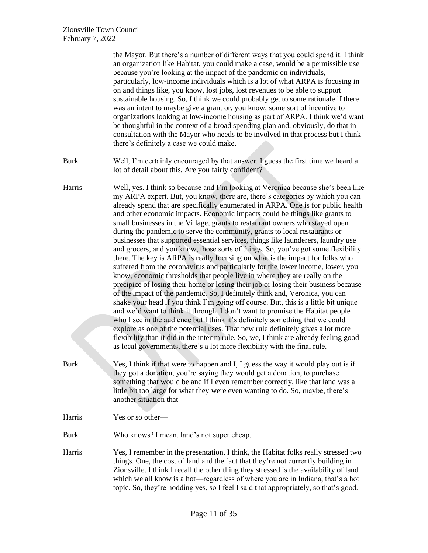|             | the Mayor. But there's a number of different ways that you could spend it. I think<br>an organization like Habitat, you could make a case, would be a permissible use<br>because you're looking at the impact of the pandemic on individuals,<br>particularly, low-income individuals which is a lot of what ARPA is focusing in<br>on and things like, you know, lost jobs, lost revenues to be able to support<br>sustainable housing. So, I think we could probably get to some rationale if there<br>was an intent to maybe give a grant or, you know, some sort of incentive to<br>organizations looking at low-income housing as part of ARPA. I think we'd want<br>be thoughtful in the context of a broad spending plan and, obviously, do that in<br>consultation with the Mayor who needs to be involved in that process but I think<br>there's definitely a case we could make.                                                                                                                                                                                                                                                                                                                                                                                                                                                                                                                                                                                                                                                                                                                               |
|-------------|--------------------------------------------------------------------------------------------------------------------------------------------------------------------------------------------------------------------------------------------------------------------------------------------------------------------------------------------------------------------------------------------------------------------------------------------------------------------------------------------------------------------------------------------------------------------------------------------------------------------------------------------------------------------------------------------------------------------------------------------------------------------------------------------------------------------------------------------------------------------------------------------------------------------------------------------------------------------------------------------------------------------------------------------------------------------------------------------------------------------------------------------------------------------------------------------------------------------------------------------------------------------------------------------------------------------------------------------------------------------------------------------------------------------------------------------------------------------------------------------------------------------------------------------------------------------------------------------------------------------------|
| <b>Burk</b> | Well, I'm certainly encouraged by that answer. I guess the first time we heard a<br>lot of detail about this. Are you fairly confident?                                                                                                                                                                                                                                                                                                                                                                                                                                                                                                                                                                                                                                                                                                                                                                                                                                                                                                                                                                                                                                                                                                                                                                                                                                                                                                                                                                                                                                                                                  |
| Harris      | Well, yes. I think so because and I'm looking at Veronica because she's been like<br>my ARPA expert. But, you know, there are, there's categories by which you can<br>already spend that are specifically enumerated in ARPA. One is for public health<br>and other economic impacts. Economic impacts could be things like grants to<br>small businesses in the Village, grants to restaurant owners who stayed open<br>during the pandemic to serve the community, grants to local restaurants or<br>businesses that supported essential services, things like launderers, laundry use<br>and grocers, and you know, those sorts of things. So, you've got some flexibility<br>there. The key is ARPA is really focusing on what is the impact for folks who<br>suffered from the coronavirus and particularly for the lower income, lower, you<br>know, economic thresholds that people live in where they are really on the<br>precipice of losing their home or losing their job or losing their business because<br>of the impact of the pandemic. So, I definitely think and, Veronica, you can<br>shake your head if you think I'm going off course. But, this is a little bit unique<br>and we'd want to think it through. I don't want to promise the Habitat people<br>who I see in the audience but I think it's definitely something that we could<br>explore as one of the potential uses. That new rule definitely gives a lot more<br>flexibility than it did in the interim rule. So, we, I think are already feeling good<br>as local governments, there's a lot more flexibility with the final rule. |
| <b>Burk</b> | Yes, I think if that were to happen and I, I guess the way it would play out is if<br>they got a donation, you're saying they would get a donation, to purchase<br>something that would be and if I even remember correctly, like that land was a<br>little bit too large for what they were even wanting to do. So, maybe, there's<br>another situation that-                                                                                                                                                                                                                                                                                                                                                                                                                                                                                                                                                                                                                                                                                                                                                                                                                                                                                                                                                                                                                                                                                                                                                                                                                                                           |
| Harris      | Yes or so other-                                                                                                                                                                                                                                                                                                                                                                                                                                                                                                                                                                                                                                                                                                                                                                                                                                                                                                                                                                                                                                                                                                                                                                                                                                                                                                                                                                                                                                                                                                                                                                                                         |
| <b>Burk</b> | Who knows? I mean, land's not super cheap.                                                                                                                                                                                                                                                                                                                                                                                                                                                                                                                                                                                                                                                                                                                                                                                                                                                                                                                                                                                                                                                                                                                                                                                                                                                                                                                                                                                                                                                                                                                                                                               |
| Harris      | Yes, I remember in the presentation, I think, the Habitat folks really stressed two<br>things. One, the cost of land and the fact that they're not currently building in<br>Zionsville. I think I recall the other thing they stressed is the availability of land<br>which we all know is a hot—regardless of where you are in Indiana, that's a hot<br>topic. So, they're nodding yes, so I feel I said that appropriately, so that's good.                                                                                                                                                                                                                                                                                                                                                                                                                                                                                                                                                                                                                                                                                                                                                                                                                                                                                                                                                                                                                                                                                                                                                                            |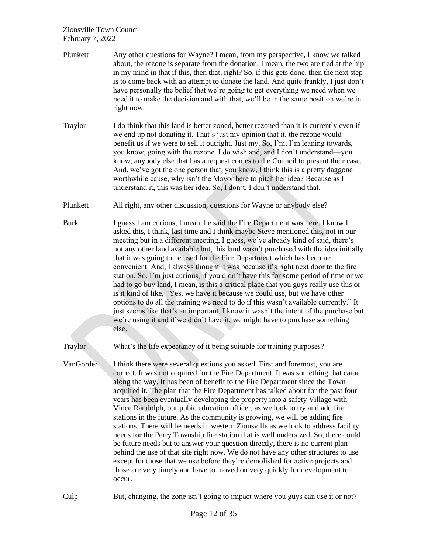| Plunkett    | Any other questions for Wayne? I mean, from my perspective, I know we talked<br>about, the rezone is separate from the donation, I mean, the two are tied at the hip<br>in my mind in that if this, then that, right? So, if this gets done, then the next step<br>is to come back with an attempt to donate the land. And quite frankly, I just don't<br>have personally the belief that we're going to get everything we need when we<br>need it to make the decision and with that, we'll be in the same position we're in<br>right now.                                                                                                                                                                                                                                                                                                                                                                                                                                                                                                                                                                    |
|-------------|----------------------------------------------------------------------------------------------------------------------------------------------------------------------------------------------------------------------------------------------------------------------------------------------------------------------------------------------------------------------------------------------------------------------------------------------------------------------------------------------------------------------------------------------------------------------------------------------------------------------------------------------------------------------------------------------------------------------------------------------------------------------------------------------------------------------------------------------------------------------------------------------------------------------------------------------------------------------------------------------------------------------------------------------------------------------------------------------------------------|
| Traylor     | I do think that this land is better zoned, better rezoned than it is currently even if<br>we end up not donating it. That's just my opinion that it, the rezone would<br>benefit us if we were to sell it outright. Just my. So, I'm, I'm leaning towards,<br>you know, going with the rezone. I do wish and, and I don't understand—you<br>know, anybody else that has a request comes to the Council to present their case.<br>And, we've got the one person that, you know, I think this is a pretty daggone<br>worthwhile cause, why isn't the Mayor here to pitch her idea? Because as I<br>understand it, this was her idea. So, I don't, I don't understand that.                                                                                                                                                                                                                                                                                                                                                                                                                                       |
| Plunkett    | All right, any other discussion, questions for Wayne or anybody else?                                                                                                                                                                                                                                                                                                                                                                                                                                                                                                                                                                                                                                                                                                                                                                                                                                                                                                                                                                                                                                          |
| <b>Burk</b> | I guess I am curious, I mean, he said the Fire Department was here. I know I<br>asked this, I think, last time and I think maybe Steve mentioned this, not in our<br>meeting but in a different meeting, I guess, we've already kind of said, there's<br>not any other land available but, this land wasn't purchased with the idea initially<br>that it was going to be used for the Fire Department which has become<br>convenient. And, I always thought it was because it's right next door to the fire<br>station. So, I'm just curious, if you didn't have this for some period of time or we<br>had to go buy land, I mean, is this a critical place that you guys really use this or<br>is it kind of like, "Yes, we have it because we could use, but we have other<br>options to do all the training we need to do if this wasn't available currently." It<br>just seems like that's an important. I know it wasn't the intent of the purchase but<br>we're using it and if we didn't have it, we might have to purchase something<br>else.                                                          |
| Traylor     | What's the life expectancy of it being suitable for training purposes?                                                                                                                                                                                                                                                                                                                                                                                                                                                                                                                                                                                                                                                                                                                                                                                                                                                                                                                                                                                                                                         |
| VanGorder   | I think there were several questions you asked. First and foremost, you are<br>correct. It was not acquired for the Fire Department. It was something that came<br>along the way. It has been of benefit to the Fire Department since the Town<br>acquired it. The plan that the Fire Department has talked about for the past four<br>years has been eventually developing the property into a safety Village with<br>Vince Randolph, our pubic education officer, as we look to try and add fire<br>stations in the future. As the community is growing, we will be adding fire<br>stations. There will be needs in western Zionsville as we look to address facility<br>needs for the Perry Township fire station that is well undersized. So, there could<br>be future needs but to answer your question directly, there is no current plan<br>behind the use of that site right now. We do not have any other structures to use<br>except for those that we use before they're demolished for active projects and<br>those are very timely and have to moved on very quickly for development to<br>occur. |

Culp But, changing, the zone isn't going to impact where you guys can use it or not?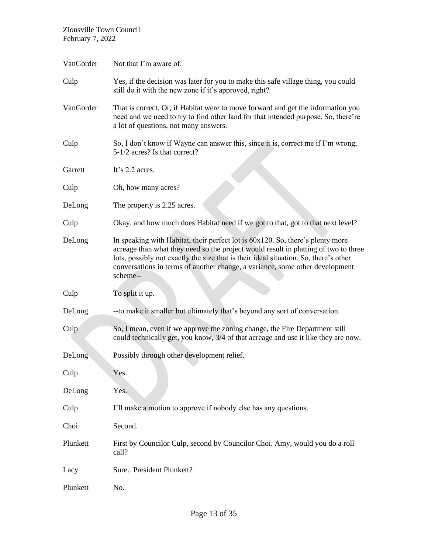| VanGorder | Not that I'm aware of.                                                                                                                                                                                                                                                                                                                                    |
|-----------|-----------------------------------------------------------------------------------------------------------------------------------------------------------------------------------------------------------------------------------------------------------------------------------------------------------------------------------------------------------|
| Culp      | Yes, if the decision was later for you to make this safe village thing, you could<br>still do it with the new zone if it's approved, right?                                                                                                                                                                                                               |
| VanGorder | That is correct. Or, if Habitat were to move forward and get the information you<br>need and we need to try to find other land for that intended purpose. So, there're<br>a lot of questions, not many answers.                                                                                                                                           |
| Culp      | So, I don't know if Wayne can answer this, since it is, correct me if I'm wrong,<br>5-1/2 acres? Is that correct?                                                                                                                                                                                                                                         |
| Garrett   | It's 2.2 acres.                                                                                                                                                                                                                                                                                                                                           |
| Culp      | Oh, how many acres?                                                                                                                                                                                                                                                                                                                                       |
| DeLong    | The property is 2.25 acres.                                                                                                                                                                                                                                                                                                                               |
| Culp      | Okay, and how much does Habitat need if we got to that, got to that next level?                                                                                                                                                                                                                                                                           |
| DeLong    | In speaking with Habitat, their perfect lot is 60x120. So, there's plenty more<br>acreage than what they need so the project would result in platting of two to three<br>lots, possibly not exactly the size that is their ideal situation. So, there's other<br>conversations in terms of another change, a variance, some other development<br>scheme-- |
| Culp      | To split it up.                                                                                                                                                                                                                                                                                                                                           |
| DeLong    | --to make it smaller but ultimately that's beyond any sort of conversation.                                                                                                                                                                                                                                                                               |
| Culp      | So, I mean, even if we approve the zoning change, the Fire Department still<br>could technically get, you know, 3/4 of that acreage and use it like they are now.                                                                                                                                                                                         |
| DeLong    | Possibly through other development relief.                                                                                                                                                                                                                                                                                                                |
| Culp      | Yes.                                                                                                                                                                                                                                                                                                                                                      |
| DeLong    | Yès.                                                                                                                                                                                                                                                                                                                                                      |
| Culp      | I'll make a motion to approve if nobody else has any questions.                                                                                                                                                                                                                                                                                           |
| Choi      | Second.                                                                                                                                                                                                                                                                                                                                                   |
| Plunkett  | First by Councilor Culp, second by Councilor Choi. Amy, would you do a roll<br>call?                                                                                                                                                                                                                                                                      |
| Lacy      | Sure. President Plunkett?                                                                                                                                                                                                                                                                                                                                 |
| Plunkett  | No.                                                                                                                                                                                                                                                                                                                                                       |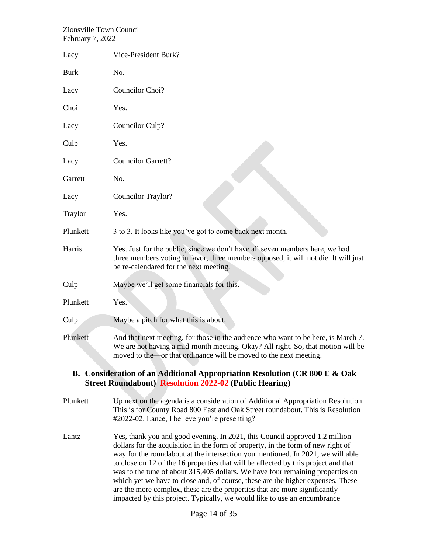| Lacy                                                                                                                                        | Vice-President Burk?                                                                                                                                                                                                                                                                                                                                                                                                                                                                                                                                                                        |  |
|---------------------------------------------------------------------------------------------------------------------------------------------|---------------------------------------------------------------------------------------------------------------------------------------------------------------------------------------------------------------------------------------------------------------------------------------------------------------------------------------------------------------------------------------------------------------------------------------------------------------------------------------------------------------------------------------------------------------------------------------------|--|
| <b>Burk</b>                                                                                                                                 | No.                                                                                                                                                                                                                                                                                                                                                                                                                                                                                                                                                                                         |  |
|                                                                                                                                             |                                                                                                                                                                                                                                                                                                                                                                                                                                                                                                                                                                                             |  |
| Lacy                                                                                                                                        | Councilor Choi?                                                                                                                                                                                                                                                                                                                                                                                                                                                                                                                                                                             |  |
| Choi                                                                                                                                        | Yes.                                                                                                                                                                                                                                                                                                                                                                                                                                                                                                                                                                                        |  |
| Lacy                                                                                                                                        | Councilor Culp?                                                                                                                                                                                                                                                                                                                                                                                                                                                                                                                                                                             |  |
| Culp                                                                                                                                        | Yes.                                                                                                                                                                                                                                                                                                                                                                                                                                                                                                                                                                                        |  |
| Lacy                                                                                                                                        | <b>Councilor Garrett?</b>                                                                                                                                                                                                                                                                                                                                                                                                                                                                                                                                                                   |  |
| Garrett                                                                                                                                     | No.                                                                                                                                                                                                                                                                                                                                                                                                                                                                                                                                                                                         |  |
| Lacy                                                                                                                                        | Councilor Traylor?                                                                                                                                                                                                                                                                                                                                                                                                                                                                                                                                                                          |  |
| Traylor                                                                                                                                     | Yes.                                                                                                                                                                                                                                                                                                                                                                                                                                                                                                                                                                                        |  |
| Plunkett                                                                                                                                    | 3 to 3. It looks like you've got to come back next month.                                                                                                                                                                                                                                                                                                                                                                                                                                                                                                                                   |  |
| Harris                                                                                                                                      | Yes. Just for the public, since we don't have all seven members here, we had<br>three members voting in favor, three members opposed, it will not die. It will just<br>be re-calendared for the next meeting.                                                                                                                                                                                                                                                                                                                                                                               |  |
| Culp                                                                                                                                        | Maybe we'll get some financials for this.                                                                                                                                                                                                                                                                                                                                                                                                                                                                                                                                                   |  |
| Plunkett                                                                                                                                    | Yes.                                                                                                                                                                                                                                                                                                                                                                                                                                                                                                                                                                                        |  |
| Culp                                                                                                                                        | Maybe a pitch for what this is about.                                                                                                                                                                                                                                                                                                                                                                                                                                                                                                                                                       |  |
| Plunkett                                                                                                                                    | And that next meeting, for those in the audience who want to be here, is March 7.<br>We are not having a mid-month meeting. Okay? All right. So, that motion will be<br>moved to the—or that ordinance will be moved to the next meeting.                                                                                                                                                                                                                                                                                                                                                   |  |
| B. Consideration of an Additional Appropriation Resolution (CR 800 E & Oak<br><b>Street Roundabout) Resolution 2022-02 (Public Hearing)</b> |                                                                                                                                                                                                                                                                                                                                                                                                                                                                                                                                                                                             |  |
| Plunkett                                                                                                                                    | Up next on the agenda is a consideration of Additional Appropriation Resolution.<br>This is for County Road 800 East and Oak Street roundabout. This is Resolution<br>#2022-02. Lance, I believe you're presenting?                                                                                                                                                                                                                                                                                                                                                                         |  |
| Lantz                                                                                                                                       | Yes, thank you and good evening. In 2021, this Council approved 1.2 million<br>dollars for the acquisition in the form of property, in the form of new right of<br>way for the roundabout at the intersection you mentioned. In 2021, we will able<br>to close on 12 of the 16 properties that will be affected by this project and that<br>was to the tune of about 315,405 dollars. We have four remaining properties on<br>which yet we have to close and, of course, these are the higher expenses. These<br>are the more complex, these are the properties that are more significantly |  |

impacted by this project. Typically, we would like to use an encumbrance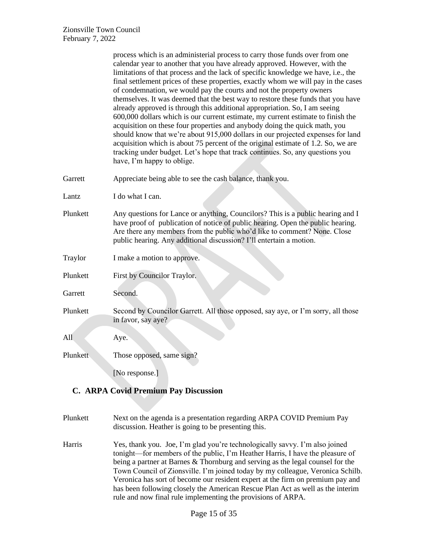|          | process which is an administerial process to carry those funds over from one<br>calendar year to another that you have already approved. However, with the<br>limitations of that process and the lack of specific knowledge we have, i.e., the<br>final settlement prices of these properties, exactly whom we will pay in the cases<br>of condemnation, we would pay the courts and not the property owners<br>themselves. It was deemed that the best way to restore these funds that you have<br>already approved is through this additional appropriation. So, I am seeing<br>600,000 dollars which is our current estimate, my current estimate to finish the<br>acquisition on these four properties and anybody doing the quick math, you<br>should know that we're about 915,000 dollars in our projected expenses for land<br>acquisition which is about 75 percent of the original estimate of 1.2. So, we are<br>tracking under budget. Let's hope that track continues. So, any questions you<br>have, I'm happy to oblige. |
|----------|------------------------------------------------------------------------------------------------------------------------------------------------------------------------------------------------------------------------------------------------------------------------------------------------------------------------------------------------------------------------------------------------------------------------------------------------------------------------------------------------------------------------------------------------------------------------------------------------------------------------------------------------------------------------------------------------------------------------------------------------------------------------------------------------------------------------------------------------------------------------------------------------------------------------------------------------------------------------------------------------------------------------------------------|
| Garrett  | Appreciate being able to see the cash balance, thank you.                                                                                                                                                                                                                                                                                                                                                                                                                                                                                                                                                                                                                                                                                                                                                                                                                                                                                                                                                                                |
| Lantz    | I do what I can.                                                                                                                                                                                                                                                                                                                                                                                                                                                                                                                                                                                                                                                                                                                                                                                                                                                                                                                                                                                                                         |
| Plunkett | Any questions for Lance or anything, Councilors? This is a public hearing and I<br>have proof of publication of notice of public hearing. Open the public hearing.<br>Are there any members from the public who'd like to comment? None. Close<br>public hearing. Any additional discussion? I'll entertain a motion.                                                                                                                                                                                                                                                                                                                                                                                                                                                                                                                                                                                                                                                                                                                    |
| Traylor  | I make a motion to approve.                                                                                                                                                                                                                                                                                                                                                                                                                                                                                                                                                                                                                                                                                                                                                                                                                                                                                                                                                                                                              |
| Plunkett | First by Councilor Traylor.                                                                                                                                                                                                                                                                                                                                                                                                                                                                                                                                                                                                                                                                                                                                                                                                                                                                                                                                                                                                              |
| Garrett  | Second.                                                                                                                                                                                                                                                                                                                                                                                                                                                                                                                                                                                                                                                                                                                                                                                                                                                                                                                                                                                                                                  |
| Plunkett | Second by Councilor Garrett. All those opposed, say aye, or I'm sorry, all those<br>in favor, say aye?                                                                                                                                                                                                                                                                                                                                                                                                                                                                                                                                                                                                                                                                                                                                                                                                                                                                                                                                   |
| All      | Aye.                                                                                                                                                                                                                                                                                                                                                                                                                                                                                                                                                                                                                                                                                                                                                                                                                                                                                                                                                                                                                                     |
| Plunkett | Those opposed, same sign?                                                                                                                                                                                                                                                                                                                                                                                                                                                                                                                                                                                                                                                                                                                                                                                                                                                                                                                                                                                                                |
|          | [No response.]                                                                                                                                                                                                                                                                                                                                                                                                                                                                                                                                                                                                                                                                                                                                                                                                                                                                                                                                                                                                                           |

# **C. ARPA Covid Premium Pay Discussion**

- Plunkett Next on the agenda is a presentation regarding ARPA COVID Premium Pay discussion. Heather is going to be presenting this.
- Harris Yes, thank you. Joe, I'm glad you're technologically savvy. I'm also joined tonight—for members of the public, I'm Heather Harris, I have the pleasure of being a partner at Barnes & Thornburg and serving as the legal counsel for the Town Council of Zionsville. I'm joined today by my colleague, Veronica Schilb. Veronica has sort of become our resident expert at the firm on premium pay and has been following closely the American Rescue Plan Act as well as the interim rule and now final rule implementing the provisions of ARPA.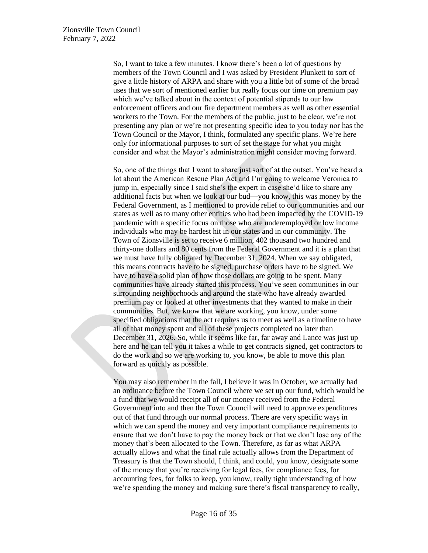So, I want to take a few minutes. I know there's been a lot of questions by members of the Town Council and I was asked by President Plunkett to sort of give a little history of ARPA and share with you a little bit of some of the broad uses that we sort of mentioned earlier but really focus our time on premium pay which we've talked about in the context of potential stipends to our law enforcement officers and our fire department members as well as other essential workers to the Town. For the members of the public, just to be clear, we're not presenting any plan or we're not presenting specific idea to you today nor has the Town Council or the Mayor, I think, formulated any specific plans. We're here only for informational purposes to sort of set the stage for what you might consider and what the Mayor's administration might consider moving forward.

So, one of the things that I want to share just sort of at the outset. You've heard a lot about the American Rescue Plan Act and I'm going to welcome Veronica to jump in, especially since I said she's the expert in case she'd like to share any additional facts but when we look at our bud—you know, this was money by the Federal Government, as I mentioned to provide relief to our communities and our states as well as to many other entities who had been impacted by the COVID-19 pandemic with a specific focus on those who are underemployed or low income individuals who may be hardest hit in our states and in our community. The Town of Zionsville is set to receive 6 million, 402 thousand two hundred and thirty-one dollars and 80 cents from the Federal Government and it is a plan that we must have fully obligated by December 31, 2024. When we say obligated, this means contracts have to be signed, purchase orders have to be signed. We have to have a solid plan of how those dollars are going to be spent. Many communities have already started this process. You've seen communities in our surrounding neighborhoods and around the state who have already awarded premium pay or looked at other investments that they wanted to make in their communities. But, we know that we are working, you know, under some specified obligations that the act requires us to meet as well as a timeline to have all of that money spent and all of these projects completed no later than December 31, 2026. So, while it seems like far, far away and Lance was just up here and he can tell you it takes a while to get contracts signed, get contractors to do the work and so we are working to, you know, be able to move this plan forward as quickly as possible.

You may also remember in the fall, I believe it was in October, we actually had an ordinance before the Town Council where we set up our fund, which would be a fund that we would receipt all of our money received from the Federal Government into and then the Town Council will need to approve expenditures out of that fund through our normal process. There are very specific ways in which we can spend the money and very important compliance requirements to ensure that we don't have to pay the money back or that we don't lose any of the money that's been allocated to the Town. Therefore, as far as what ARPA actually allows and what the final rule actually allows from the Department of Treasury is that the Town should, I think, and could, you know, designate some of the money that you're receiving for legal fees, for compliance fees, for accounting fees, for folks to keep, you know, really tight understanding of how we're spending the money and making sure there's fiscal transparency to really,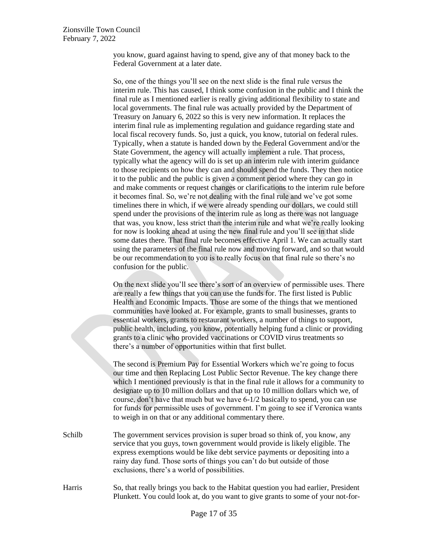you know, guard against having to spend, give any of that money back to the Federal Government at a later date.

So, one of the things you'll see on the next slide is the final rule versus the interim rule. This has caused, I think some confusion in the public and I think the final rule as I mentioned earlier is really giving additional flexibility to state and local governments. The final rule was actually provided by the Department of Treasury on January 6, 2022 so this is very new information. It replaces the interim final rule as implementing regulation and guidance regarding state and local fiscal recovery funds. So, just a quick, you know, tutorial on federal rules. Typically, when a statute is handed down by the Federal Government and/or the State Government, the agency will actually implement a rule. That process, typically what the agency will do is set up an interim rule with interim guidance to those recipients on how they can and should spend the funds. They then notice it to the public and the public is given a comment period where they can go in and make comments or request changes or clarifications to the interim rule before it becomes final. So, we're not dealing with the final rule and we've got some timelines there in which, if we were already spending our dollars, we could still spend under the provisions of the interim rule as long as there was not language that was, you know, less strict than the interim rule and what we're really looking for now is looking ahead at using the new final rule and you'll see in that slide some dates there. That final rule becomes effective April 1. We can actually start using the parameters of the final rule now and moving forward, and so that would be our recommendation to you is to really focus on that final rule so there's no confusion for the public.

On the next slide you'll see there's sort of an overview of permissible uses. There are really a few things that you can use the funds for. The first listed is Public Health and Economic Impacts. Those are some of the things that we mentioned communities have looked at. For example, grants to small businesses, grants to essential workers, grants to restaurant workers, a number of things to support, public health, including, you know, potentially helping fund a clinic or providing grants to a clinic who provided vaccinations or COVID virus treatments so there's a number of opportunities within that first bullet.

The second is Premium Pay for Essential Workers which we're going to focus our time and then Replacing Lost Public Sector Revenue. The key change there which I mentioned previously is that in the final rule it allows for a community to designate up to 10 million dollars and that up to 10 million dollars which we, of course, don't have that much but we have 6-1/2 basically to spend, you can use for funds for permissible uses of government. I'm going to see if Veronica wants to weigh in on that or any additional commentary there.

- Schilb The government services provision is super broad so think of, you know, any service that you guys, town government would provide is likely eligible. The express exemptions would be like debt service payments or depositing into a rainy day fund. Those sorts of things you can't do but outside of those exclusions, there's a world of possibilities.
- Harris So, that really brings you back to the Habitat question you had earlier, President Plunkett. You could look at, do you want to give grants to some of your not-for-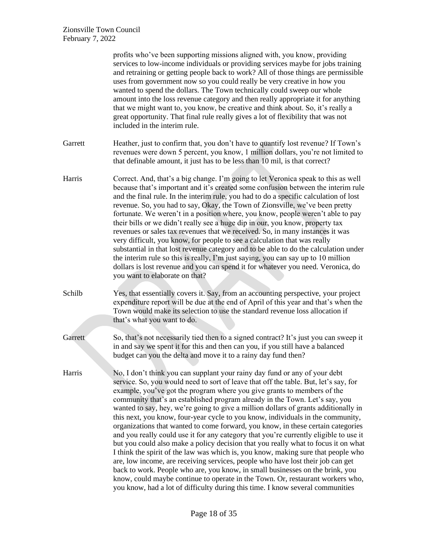|         | profits who've been supporting missions aligned with, you know, providing<br>services to low-income individuals or providing services maybe for jobs training<br>and retraining or getting people back to work? All of those things are permissible<br>uses from government now so you could really be very creative in how you<br>wanted to spend the dollars. The Town technically could sweep our whole<br>amount into the loss revenue category and then really appropriate it for anything<br>that we might want to, you know, be creative and think about. So, it's really a<br>great opportunity. That final rule really gives a lot of flexibility that was not<br>included in the interim rule.                                                                                                                                                                                                                                                                                                                                                                                                                                                                                               |
|---------|--------------------------------------------------------------------------------------------------------------------------------------------------------------------------------------------------------------------------------------------------------------------------------------------------------------------------------------------------------------------------------------------------------------------------------------------------------------------------------------------------------------------------------------------------------------------------------------------------------------------------------------------------------------------------------------------------------------------------------------------------------------------------------------------------------------------------------------------------------------------------------------------------------------------------------------------------------------------------------------------------------------------------------------------------------------------------------------------------------------------------------------------------------------------------------------------------------|
| Garrett | Heather, just to confirm that, you don't have to quantify lost revenue? If Town's<br>revenues were down 5 percent, you know, 1 million dollars, you're not limited to<br>that definable amount, it just has to be less than 10 mil, is that correct?                                                                                                                                                                                                                                                                                                                                                                                                                                                                                                                                                                                                                                                                                                                                                                                                                                                                                                                                                   |
| Harris  | Correct. And, that's a big change. I'm going to let Veronica speak to this as well<br>because that's important and it's created some confusion between the interim rule<br>and the final rule. In the interim rule, you had to do a specific calculation of lost<br>revenue. So, you had to say, Okay, the Town of Zionsville, we've been pretty<br>fortunate. We weren't in a position where, you know, people weren't able to pay<br>their bills or we didn't really see a huge dip in our, you know, property tax<br>revenues or sales tax revenues that we received. So, in many instances it was<br>very difficult, you know, for people to see a calculation that was really<br>substantial in that lost revenue category and to be able to do the calculation under<br>the interim rule so this is really, I'm just saying, you can say up to 10 million<br>dollars is lost revenue and you can spend it for whatever you need. Veronica, do<br>you want to elaborate on that?                                                                                                                                                                                                                  |
| Schilb  | Yes, that essentially covers it. Say, from an accounting perspective, your project<br>expenditure report will be due at the end of April of this year and that's when the<br>Town would make its selection to use the standard revenue loss allocation if<br>that's what you want to do.                                                                                                                                                                                                                                                                                                                                                                                                                                                                                                                                                                                                                                                                                                                                                                                                                                                                                                               |
| Garrett | So, that's not necessarily tied then to a signed contract? It's just you can sweep it<br>in and say we spent it for this and then can you, if you still have a balanced<br>budget can you the delta and move it to a rainy day fund then?                                                                                                                                                                                                                                                                                                                                                                                                                                                                                                                                                                                                                                                                                                                                                                                                                                                                                                                                                              |
| Harris  | No, I don't think you can supplant your rainy day fund or any of your debt<br>service. So, you would need to sort of leave that off the table. But, let's say, for<br>example, you've got the program where you give grants to members of the<br>community that's an established program already in the Town. Let's say, you<br>wanted to say, hey, we're going to give a million dollars of grants additionally in<br>this next, you know, four-year cycle to you know, individuals in the community,<br>organizations that wanted to come forward, you know, in these certain categories<br>and you really could use it for any category that you're currently eligible to use it<br>but you could also make a policy decision that you really what to focus it on what<br>I think the spirit of the law was which is, you know, making sure that people who<br>are, low income, are receiving services, people who have lost their job can get<br>back to work. People who are, you know, in small businesses on the brink, you<br>know, could maybe continue to operate in the Town. Or, restaurant workers who,<br>you know, had a lot of difficulty during this time. I know several communities |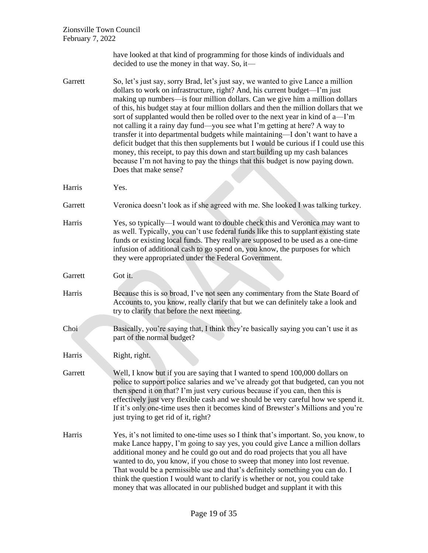have looked at that kind of programming for those kinds of individuals and decided to use the money in that way. So, it—

- Garrett So, let's just say, sorry Brad, let's just say, we wanted to give Lance a million dollars to work on infrastructure, right? And, his current budget—I'm just making up numbers—is four million dollars. Can we give him a million dollars of this, his budget stay at four million dollars and then the million dollars that we sort of supplanted would then be rolled over to the next year in kind of a—I'm not calling it a rainy day fund—you see what I'm getting at here? A way to transfer it into departmental budgets while maintaining—I don't want to have a deficit budget that this then supplements but I would be curious if I could use this money, this receipt, to pay this down and start building up my cash balances because I'm not having to pay the things that this budget is now paying down. Does that make sense?
- Harris Yes.
- Garrett Veronica doesn't look as if she agreed with me. She looked I was talking turkey.
- Harris Yes, so typically—I would want to double check this and Veronica may want to as well. Typically, you can't use federal funds like this to supplant existing state funds or existing local funds. They really are supposed to be used as a one-time infusion of additional cash to go spend on, you know, the purposes for which they were appropriated under the Federal Government.
- Garrett Got it.
- Harris Because this is so broad, I've not seen any commentary from the State Board of Accounts to, you know, really clarify that but we can definitely take a look and try to clarify that before the next meeting.
- Choi Basically, you're saying that, I think they're basically saying you can't use it as part of the normal budget?

Harris Right, right.

- Garrett Well, I know but if you are saying that I wanted to spend 100,000 dollars on police to support police salaries and we've already got that budgeted, can you not then spend it on that? I'm just very curious because if you can, then this is effectively just very flexible cash and we should be very careful how we spend it. If it's only one-time uses then it becomes kind of Brewster's Millions and you're just trying to get rid of it, right?
- Harris Yes, it's not limited to one-time uses so I think that's important. So, you know, to make Lance happy, I'm going to say yes, you could give Lance a million dollars additional money and he could go out and do road projects that you all have wanted to do, you know, if you chose to sweep that money into lost revenue. That would be a permissible use and that's definitely something you can do. I think the question I would want to clarify is whether or not, you could take money that was allocated in our published budget and supplant it with this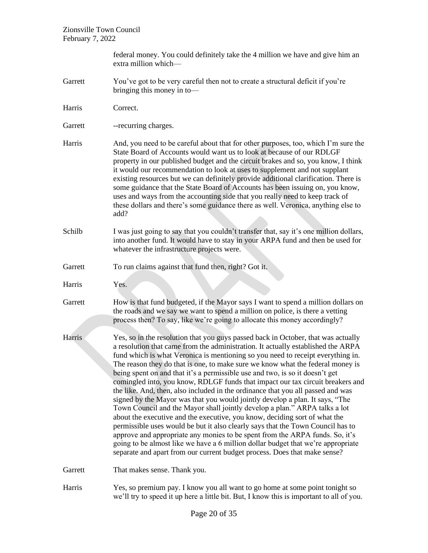|         | federal money. You could definitely take the 4 million we have and give him an<br>extra million which-                                                                                                                                                                                                                                                                                                                                                                                                                                                                                                                                                                                                                                                                                                                                                                                                                                                                                                                                                                                                                                                                          |
|---------|---------------------------------------------------------------------------------------------------------------------------------------------------------------------------------------------------------------------------------------------------------------------------------------------------------------------------------------------------------------------------------------------------------------------------------------------------------------------------------------------------------------------------------------------------------------------------------------------------------------------------------------------------------------------------------------------------------------------------------------------------------------------------------------------------------------------------------------------------------------------------------------------------------------------------------------------------------------------------------------------------------------------------------------------------------------------------------------------------------------------------------------------------------------------------------|
| Garrett | You've got to be very careful then not to create a structural deficit if you're<br>bringing this money in to-                                                                                                                                                                                                                                                                                                                                                                                                                                                                                                                                                                                                                                                                                                                                                                                                                                                                                                                                                                                                                                                                   |
| Harris  | Correct.                                                                                                                                                                                                                                                                                                                                                                                                                                                                                                                                                                                                                                                                                                                                                                                                                                                                                                                                                                                                                                                                                                                                                                        |
| Garrett | -- recurring charges.                                                                                                                                                                                                                                                                                                                                                                                                                                                                                                                                                                                                                                                                                                                                                                                                                                                                                                                                                                                                                                                                                                                                                           |
| Harris  | And, you need to be careful about that for other purposes, too, which I'm sure the<br>State Board of Accounts would want us to look at because of our RDLGF<br>property in our published budget and the circuit brakes and so, you know, I think<br>it would our recommendation to look at uses to supplement and not supplant<br>existing resources but we can definitely provide additional clarification. There is<br>some guidance that the State Board of Accounts has been issuing on, you know,<br>uses and ways from the accounting side that you really need to keep track of<br>these dollars and there's some guidance there as well. Veronica, anything else to<br>add?                                                                                                                                                                                                                                                                                                                                                                                                                                                                                             |
| Schilb  | I was just going to say that you couldn't transfer that, say it's one million dollars,<br>into another fund. It would have to stay in your ARPA fund and then be used for<br>whatever the infrastructure projects were.                                                                                                                                                                                                                                                                                                                                                                                                                                                                                                                                                                                                                                                                                                                                                                                                                                                                                                                                                         |
| Garrett | To run claims against that fund then, right? Got it.                                                                                                                                                                                                                                                                                                                                                                                                                                                                                                                                                                                                                                                                                                                                                                                                                                                                                                                                                                                                                                                                                                                            |
| Harris  | Yes.                                                                                                                                                                                                                                                                                                                                                                                                                                                                                                                                                                                                                                                                                                                                                                                                                                                                                                                                                                                                                                                                                                                                                                            |
| Garrett | How is that fund budgeted, if the Mayor says I want to spend a million dollars on<br>the roads and we say we want to spend a million on police, is there a vetting<br>process then? To say, like we're going to allocate this money accordingly?                                                                                                                                                                                                                                                                                                                                                                                                                                                                                                                                                                                                                                                                                                                                                                                                                                                                                                                                |
| Harris  | Yes, so in the resolution that you guys passed back in October, that was actually<br>a resolution that came from the administration. It actually established the ARPA<br>fund which is what Veronica is mentioning so you need to receipt everything in.<br>The reason they do that is one, to make sure we know what the federal money is<br>being spent on and that it's a permissible use and two, is so it doesn't get<br>comingled into, you know, RDLGF funds that impact our tax circuit breakers and<br>the like. And, then, also included in the ordinance that you all passed and was<br>signed by the Mayor was that you would jointly develop a plan. It says, "The<br>Town Council and the Mayor shall jointly develop a plan." ARPA talks a lot<br>about the executive and the executive, you know, deciding sort of what the<br>permissible uses would be but it also clearly says that the Town Council has to<br>approve and appropriate any monies to be spent from the ARPA funds. So, it's<br>going to be almost like we have a 6 million dollar budget that we're appropriate<br>separate and apart from our current budget process. Does that make sense? |
| Garrett | That makes sense. Thank you.                                                                                                                                                                                                                                                                                                                                                                                                                                                                                                                                                                                                                                                                                                                                                                                                                                                                                                                                                                                                                                                                                                                                                    |
| Harris  | Yes, so premium pay. I know you all want to go home at some point tonight so<br>we'll try to speed it up here a little bit. But, I know this is important to all of you.                                                                                                                                                                                                                                                                                                                                                                                                                                                                                                                                                                                                                                                                                                                                                                                                                                                                                                                                                                                                        |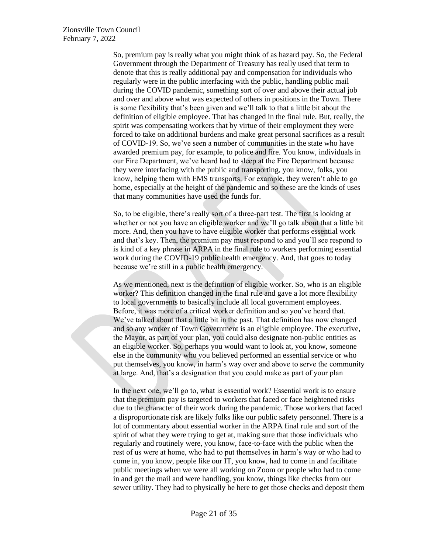So, premium pay is really what you might think of as hazard pay. So, the Federal Government through the Department of Treasury has really used that term to denote that this is really additional pay and compensation for individuals who regularly were in the public interfacing with the public, handling public mail during the COVID pandemic, something sort of over and above their actual job and over and above what was expected of others in positions in the Town. There is some flexibility that's been given and we'll talk to that a little bit about the definition of eligible employee. That has changed in the final rule. But, really, the spirit was compensating workers that by virtue of their employment they were forced to take on additional burdens and make great personal sacrifices as a result of COVID-19. So, we've seen a number of communities in the state who have awarded premium pay, for example, to police and fire. You know, individuals in our Fire Department, we've heard had to sleep at the Fire Department because they were interfacing with the public and transporting, you know, folks, you know, helping them with EMS transports. For example, they weren't able to go home, especially at the height of the pandemic and so these are the kinds of uses that many communities have used the funds for.

So, to be eligible, there's really sort of a three-part test. The first is looking at whether or not you have an eligible worker and we'll go talk about that a little bit more. And, then you have to have eligible worker that performs essential work and that's key. Then, the premium pay must respond to and you'll see respond to is kind of a key phrase in ARPA in the final rule to workers performing essential work during the COVID-19 public health emergency. And, that goes to today because we're still in a public health emergency.

As we mentioned, next is the definition of eligible worker. So, who is an eligible worker? This definition changed in the final rule and gave a lot more flexibility to local governments to basically include all local government employees. Before, it was more of a critical worker definition and so you've heard that. We've talked about that a little bit in the past. That definition has now changed and so any worker of Town Government is an eligible employee. The executive, the Mayor, as part of your plan, you could also designate non-public entities as an eligible worker. So, perhaps you would want to look at, you know, someone else in the community who you believed performed an essential service or who put themselves, you know, in harm's way over and above to serve the community at large. And, that's a designation that you could make as part of your plan

In the next one, we'll go to, what is essential work? Essential work is to ensure that the premium pay is targeted to workers that faced or face heightened risks due to the character of their work during the pandemic. Those workers that faced a disproportionate risk are likely folks like our public safety personnel. There is a lot of commentary about essential worker in the ARPA final rule and sort of the spirit of what they were trying to get at, making sure that those individuals who regularly and routinely were, you know, face-to-face with the public when the rest of us were at home, who had to put themselves in harm's way or who had to come in, you know, people like our IT, you know, had to come in and facilitate public meetings when we were all working on Zoom or people who had to come in and get the mail and were handling, you know, things like checks from our sewer utility. They had to physically be here to get those checks and deposit them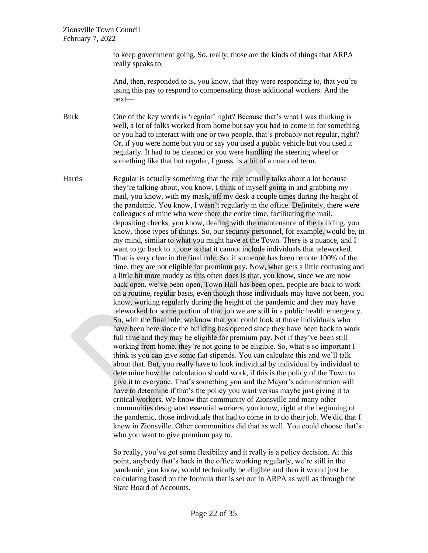to keep government going. So, really, those are the kinds of things that ARPA really speaks to.

And, then, responded to is, you know, that they were responding to, that you're using this pay to respond to compensating those additional workers. And the next—

Burk One of the key words is 'regular' right? Because that's what I was thinking is well, a lot of folks worked from home but say you had to come in for something or you had to interact with one or two people, that's probably not regular, right? Or, if you were home but you or say you used a public vehicle but you used it regularly. It had to be cleaned or you were handling the steering wheel or something like that but regular, I guess, is a bit of a nuanced term.

Harris Regular is actually something that the rule actually talks about a lot because they're talking about, you know, I think of myself going in and grabbing my mail, you know, with my mask, off my desk a couple times during the height of the pandemic. You know, I wasn't regularly in the office. Definitely, there were colleagues of mine who were there the entire time, facilitating the mail, depositing checks, you know, dealing with the maintenance of the building, you know, those types of things. So, our security personnel, for example, would be, in my mind, similar to what you might have at the Town. There is a nuance, and I want to go back to it, one is that it cannot include individuals that teleworked. That is very clear in the final rule. So, if someone has been remote 100% of the time, they are not eligible for premium pay. Now, what gets a little confusing and a little bit more muddy as this often does is that, you know, since we are now back open, we've been open, Town Hall has been open, people are back to work on a routine, regular basis, even though those individuals may have not been, you know, working regularly during the height of the pandemic and they may have teleworked for some portion of that job we are still in a public health emergency. So, with the final rule, we know that you could look at those individuals who have been here since the building has opened since they have been back to work full time and they may be eligible for premium pay. Not if they've been still working from home, they're not going to be eligible. So, what's so important I think is you can give some flat stipends. You can calculate this and we'll talk about that. But, you really have to look individual by individual by individual to determine how the calculation should work, if this is the policy of the Town to give it to everyone. That's something you and the Mayor's administration will have to determine if that's the policy you want versus maybe just giving it to critical workers. We know that community of Zionsville and many other communities designated essential workers, you know, right at the beginning of the pandemic, those individuals that had to come in to do their job. We did that I know in Zionsville. Other communities did that as well. You could choose that's who you want to give premium pay to.

> So really, you've got some flexibility and it really is a policy decision. At this point, anybody that's back in the office working regularly, we're still in the pandemic, you know, would technically be eligible and then it would just be calculating based on the formula that is set out in ARPA as well as through the State Board of Accounts.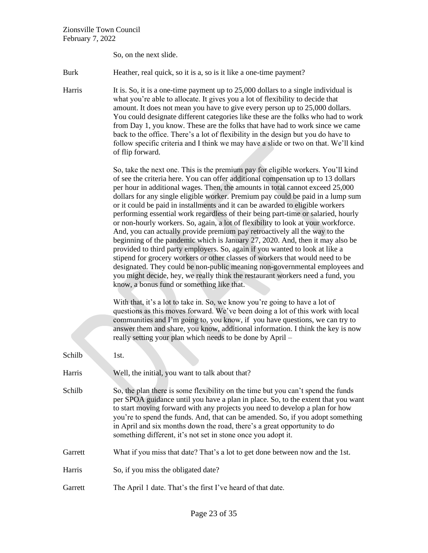So, on the next slide.

Burk Heather, real quick, so it is a, so is it like a one-time payment?

Harris It is. So, it is a one-time payment up to 25,000 dollars to a single individual is what you're able to allocate. It gives you a lot of flexibility to decide that amount. It does not mean you have to give every person up to 25,000 dollars. You could designate different categories like these are the folks who had to work from Day 1, you know. These are the folks that have had to work since we came back to the office. There's a lot of flexibility in the design but you do have to follow specific criteria and I think we may have a slide or two on that. We'll kind of flip forward.

> So, take the next one. This is the premium pay for eligible workers. You'll kind of see the criteria here. You can offer additional compensation up to 13 dollars per hour in additional wages. Then, the amounts in total cannot exceed 25,000 dollars for any single eligible worker. Premium pay could be paid in a lump sum or it could be paid in installments and it can be awarded to eligible workers performing essential work regardless of their being part-time or salaried, hourly or non-hourly workers. So, again, a lot of flexibility to look at your workforce. And, you can actually provide premium pay retroactively all the way to the beginning of the pandemic which is January 27, 2020. And, then it may also be provided to third party employers. So, again if you wanted to look at like a stipend for grocery workers or other classes of workers that would need to be designated. They could be non-public meaning non-governmental employees and you might decide, hey, we really think the restaurant workers need a fund, you know, a bonus fund or something like that.

With that, it's a lot to take in. So, we know you're going to have a lot of questions as this moves forward. We've been doing a lot of this work with local communities and I'm going to, you know, if you have questions, we can try to answer them and share, you know, additional information. I think the key is now really setting your plan which needs to be done by April –

| Schilb  | 1st.                                                                                                                                                                                                                                                                                                                                                                                                                                                                                  |
|---------|---------------------------------------------------------------------------------------------------------------------------------------------------------------------------------------------------------------------------------------------------------------------------------------------------------------------------------------------------------------------------------------------------------------------------------------------------------------------------------------|
| Harris  | Well, the initial, you want to talk about that?                                                                                                                                                                                                                                                                                                                                                                                                                                       |
| Schilb  | So, the plan there is some flexibility on the time but you can't spend the funds<br>per SPOA guidance until you have a plan in place. So, to the extent that you want<br>to start moving forward with any projects you need to develop a plan for how<br>you're to spend the funds. And, that can be amended. So, if you adopt something<br>in April and six months down the road, there's a great opportunity to do<br>something different, it's not set in stone once you adopt it. |
| Garrett | What if you miss that date? That's a lot to get done between now and the 1st.                                                                                                                                                                                                                                                                                                                                                                                                         |
| Harris  | So, if you miss the obligated date?                                                                                                                                                                                                                                                                                                                                                                                                                                                   |
| Garrett | The April 1 date. That's the first I've heard of that date.                                                                                                                                                                                                                                                                                                                                                                                                                           |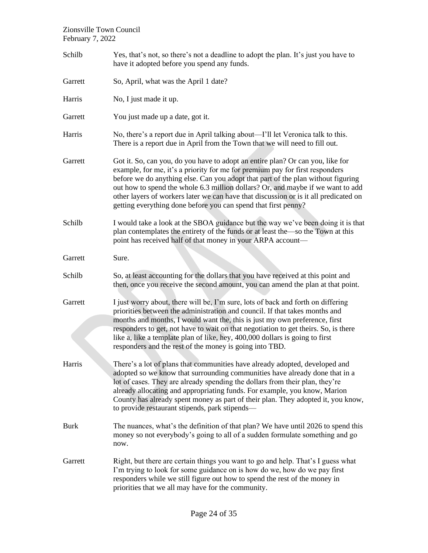| Schilb      | Yes, that's not, so there's not a deadline to adopt the plan. It's just you have to<br>have it adopted before you spend any funds.                                                                                                                                                                                                                                                                                                                                                              |
|-------------|-------------------------------------------------------------------------------------------------------------------------------------------------------------------------------------------------------------------------------------------------------------------------------------------------------------------------------------------------------------------------------------------------------------------------------------------------------------------------------------------------|
| Garrett     | So, April, what was the April 1 date?                                                                                                                                                                                                                                                                                                                                                                                                                                                           |
| Harris      | No, I just made it up.                                                                                                                                                                                                                                                                                                                                                                                                                                                                          |
| Garrett     | You just made up a date, got it.                                                                                                                                                                                                                                                                                                                                                                                                                                                                |
| Harris      | No, there's a report due in April talking about-I'll let Veronica talk to this.<br>There is a report due in April from the Town that we will need to fill out.                                                                                                                                                                                                                                                                                                                                  |
| Garrett     | Got it. So, can you, do you have to adopt an entire plan? Or can you, like for<br>example, for me, it's a priority for me for premium pay for first responders<br>before we do anything else. Can you adopt that part of the plan without figuring<br>out how to spend the whole 6.3 million dollars? Or, and maybe if we want to add<br>other layers of workers later we can have that discussion or is it all predicated on<br>getting everything done before you can spend that first penny? |
| Schilb      | I would take a look at the SBOA guidance but the way we've been doing it is that<br>plan contemplates the entirety of the funds or at least the so the Town at this<br>point has received half of that money in your ARPA account-                                                                                                                                                                                                                                                              |
| Garrett     | Sure.                                                                                                                                                                                                                                                                                                                                                                                                                                                                                           |
| Schilb      | So, at least accounting for the dollars that you have received at this point and<br>then, once you receive the second amount, you can amend the plan at that point.                                                                                                                                                                                                                                                                                                                             |
| Garrett     | I just worry about, there will be, I'm sure, lots of back and forth on differing<br>priorities between the administration and council. If that takes months and<br>months and months, I would want the, this is just my own preference, first<br>responders to get, not have to wait on that negotiation to get theirs. So, is there<br>like a, like a template plan of like, hey, 400,000 dollars is going to first<br>responders and the rest of the money is going into TBD.                 |
| Harris      | There's a lot of plans that communities have already adopted, developed and<br>adopted so we know that surrounding communities have already done that in a<br>lot of cases. They are already spending the dollars from their plan, they're<br>already allocating and appropriating funds. For example, you know, Marion<br>County has already spent money as part of their plan. They adopted it, you know,<br>to provide restaurant stipends, park stipends-                                   |
| <b>Burk</b> | The nuances, what's the definition of that plan? We have until 2026 to spend this<br>money so not everybody's going to all of a sudden formulate something and go<br>now.                                                                                                                                                                                                                                                                                                                       |
| Garrett     | Right, but there are certain things you want to go and help. That's I guess what<br>I'm trying to look for some guidance on is how do we, how do we pay first<br>responders while we still figure out how to spend the rest of the money in<br>priorities that we all may have for the community.                                                                                                                                                                                               |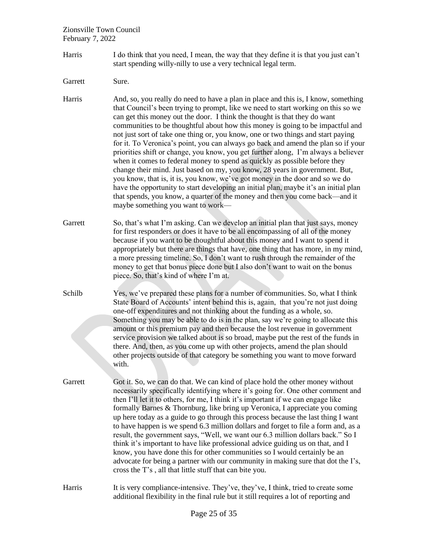Harris I do think that you need, I mean, the way that they define it is that you just can't start spending willy-nilly to use a very technical legal term.

Garrett Sure.

Harris And, so, you really do need to have a plan in place and this is, I know, something that Council's been trying to prompt, like we need to start working on this so we can get this money out the door. I think the thought is that they do want communities to be thoughtful about how this money is going to be impactful and not just sort of take one thing or, you know, one or two things and start paying for it. To Veronica's point, you can always go back and amend the plan so if your priorities shift or change, you know, you get further along, I'm always a believer when it comes to federal money to spend as quickly as possible before they change their mind. Just based on my, you know, 28 years in government. But, you know, that is, it is, you know, we've got money in the door and so we do have the opportunity to start developing an initial plan, maybe it's an initial plan that spends, you know, a quarter of the money and then you come back—and it maybe something you want to work—

Garrett So, that's what I'm asking. Can we develop an initial plan that just says, money for first responders or does it have to be all encompassing of all of the money because if you want to be thoughtful about this money and I want to spend it appropriately but there are things that have, one thing that has more, in my mind, a more pressing timeline. So, I don't want to rush through the remainder of the money to get that bonus piece done but I also don't want to wait on the bonus piece. So, that's kind of where I'm at.

Schilb Yes, we've prepared these plans for a number of communities. So, what I think State Board of Accounts' intent behind this is, again, that you're not just doing one-off expenditures and not thinking about the funding as a whole, so. Something you may be able to do is in the plan, say we're going to allocate this amount or this premium pay and then because the lost revenue in government service provision we talked about is so broad, maybe put the rest of the funds in there. And, then, as you come up with other projects, amend the plan should other projects outside of that category be something you want to move forward with.

Garrett Got it. So, we can do that. We can kind of place hold the other money without necessarily specifically identifying where it's going for. One other comment and then I'll let it to others, for me, I think it's important if we can engage like formally Barnes & Thornburg, like bring up Veronica, I appreciate you coming up here today as a guide to go through this process because the last thing I want to have happen is we spend 6.3 million dollars and forget to file a form and, as a result, the government says, "Well, we want our 6.3 million dollars back." So I think it's important to have like professional advice guiding us on that, and I know, you have done this for other communities so I would certainly be an advocate for being a partner with our community in making sure that dot the I's, cross the T's , all that little stuff that can bite you.

Harris It is very compliance-intensive. They've, they've, I think, tried to create some additional flexibility in the final rule but it still requires a lot of reporting and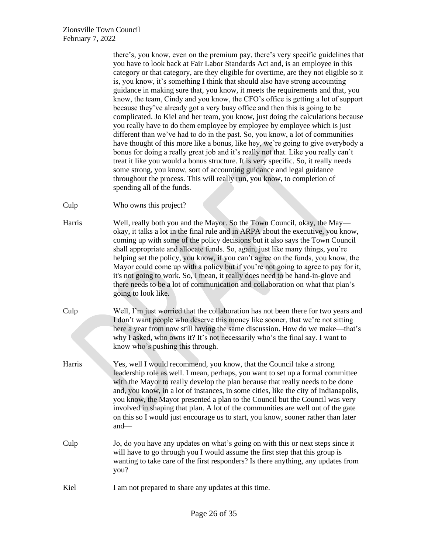|        | there's, you know, even on the premium pay, there's very specific guidelines that<br>you have to look back at Fair Labor Standards Act and, is an employee in this<br>category or that category, are they eligible for overtime, are they not eligible so it<br>is, you know, it's something I think that should also have strong accounting<br>guidance in making sure that, you know, it meets the requirements and that, you<br>know, the team, Cindy and you know, the CFO's office is getting a lot of support<br>because they've already got a very busy office and then this is going to be<br>complicated. Jo Kiel and her team, you know, just doing the calculations because<br>you really have to do them employee by employee by employee which is just<br>different than we've had to do in the past. So, you know, a lot of communities<br>have thought of this more like a bonus, like hey, we're going to give everybody a<br>bonus for doing a really great job and it's really not that. Like you really can't<br>treat it like you would a bonus structure. It is very specific. So, it really needs<br>some strong, you know, sort of accounting guidance and legal guidance<br>throughout the process. This will really run, you know, to completion of<br>spending all of the funds. |
|--------|------------------------------------------------------------------------------------------------------------------------------------------------------------------------------------------------------------------------------------------------------------------------------------------------------------------------------------------------------------------------------------------------------------------------------------------------------------------------------------------------------------------------------------------------------------------------------------------------------------------------------------------------------------------------------------------------------------------------------------------------------------------------------------------------------------------------------------------------------------------------------------------------------------------------------------------------------------------------------------------------------------------------------------------------------------------------------------------------------------------------------------------------------------------------------------------------------------------------------------------------------------------------------------------------------------|
| Culp   | Who owns this project?                                                                                                                                                                                                                                                                                                                                                                                                                                                                                                                                                                                                                                                                                                                                                                                                                                                                                                                                                                                                                                                                                                                                                                                                                                                                                     |
| Harris | Well, really both you and the Mayor. So the Town Council, okay, the May—<br>okay, it talks a lot in the final rule and in ARPA about the executive, you know,<br>coming up with some of the policy decisions but it also says the Town Council<br>shall appropriate and allocate funds. So, again, just like many things, you're<br>helping set the policy, you know, if you can't agree on the funds, you know, the<br>Mayor could come up with a policy but if you're not going to agree to pay for it,<br>it's not going to work. So, I mean, it really does need to be hand-in-glove and<br>there needs to be a lot of communication and collaboration on what that plan's<br>going to look like.                                                                                                                                                                                                                                                                                                                                                                                                                                                                                                                                                                                                      |
| Culp   | Well, I'm just worried that the collaboration has not been there for two years and<br>I don't want people who deserve this money like sooner, that we're not sitting<br>here a year from now still having the same discussion. How do we make—that's<br>why I asked, who owns it? It's not necessarily who's the final say. I want to<br>know who's pushing this through.                                                                                                                                                                                                                                                                                                                                                                                                                                                                                                                                                                                                                                                                                                                                                                                                                                                                                                                                  |
| Harris | Yes, well I would recommend, you know, that the Council take a strong<br>leadership role as well. I mean, perhaps, you want to set up a formal committee<br>with the Mayor to really develop the plan because that really needs to be done<br>and, you know, in a lot of instances, in some cities, like the city of Indianapolis,<br>you know, the Mayor presented a plan to the Council but the Council was very<br>involved in shaping that plan. A lot of the communities are well out of the gate<br>on this so I would just encourage us to start, you know, sooner rather than later<br>$and$ —                                                                                                                                                                                                                                                                                                                                                                                                                                                                                                                                                                                                                                                                                                     |
| Culp   | Jo, do you have any updates on what's going on with this or next steps since it<br>will have to go through you I would assume the first step that this group is<br>wanting to take care of the first responders? Is there anything, any updates from<br>you?                                                                                                                                                                                                                                                                                                                                                                                                                                                                                                                                                                                                                                                                                                                                                                                                                                                                                                                                                                                                                                               |
| Kiel   | I am not prepared to share any updates at this time.                                                                                                                                                                                                                                                                                                                                                                                                                                                                                                                                                                                                                                                                                                                                                                                                                                                                                                                                                                                                                                                                                                                                                                                                                                                       |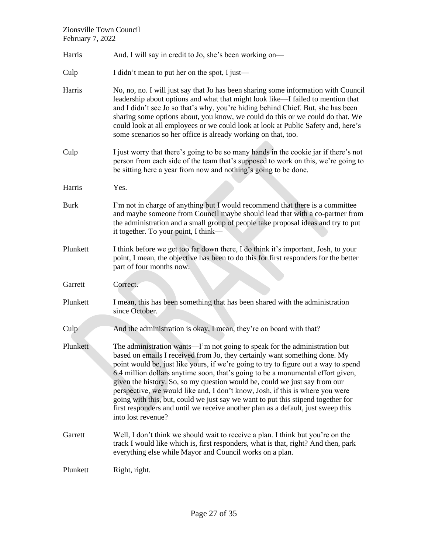| Harris      | And, I will say in credit to Jo, she's been working on-                                                                                                                                                                                                                                                                                                                                                                                                                                                                                                                                                                                                                                         |
|-------------|-------------------------------------------------------------------------------------------------------------------------------------------------------------------------------------------------------------------------------------------------------------------------------------------------------------------------------------------------------------------------------------------------------------------------------------------------------------------------------------------------------------------------------------------------------------------------------------------------------------------------------------------------------------------------------------------------|
| Culp        | I didn't mean to put her on the spot, I just—                                                                                                                                                                                                                                                                                                                                                                                                                                                                                                                                                                                                                                                   |
| Harris      | No, no, no. I will just say that Jo has been sharing some information with Council<br>leadership about options and what that might look like—I failed to mention that<br>and I didn't see Jo so that's why, you're hiding behind Chief. But, she has been<br>sharing some options about, you know, we could do this or we could do that. We<br>could look at all employees or we could look at look at Public Safety and, here's<br>some scenarios so her office is already working on that, too.                                                                                                                                                                                               |
| Culp        | I just worry that there's going to be so many hands in the cookie jar if there's not<br>person from each side of the team that's supposed to work on this, we're going to<br>be sitting here a year from now and nothing's going to be done.                                                                                                                                                                                                                                                                                                                                                                                                                                                    |
| Harris      | Yes.                                                                                                                                                                                                                                                                                                                                                                                                                                                                                                                                                                                                                                                                                            |
| <b>Burk</b> | I'm not in charge of anything but I would recommend that there is a committee<br>and maybe someone from Council maybe should lead that with a co-partner from<br>the administration and a small group of people take proposal ideas and try to put<br>it together. To your point, I think—                                                                                                                                                                                                                                                                                                                                                                                                      |
| Plunkett    | I think before we get too far down there, I do think it's important, Josh, to your<br>point, I mean, the objective has been to do this for first responders for the better<br>part of four months now.                                                                                                                                                                                                                                                                                                                                                                                                                                                                                          |
| Garrett     | Correct.                                                                                                                                                                                                                                                                                                                                                                                                                                                                                                                                                                                                                                                                                        |
| Plunkett    | I mean, this has been something that has been shared with the administration<br>since October.                                                                                                                                                                                                                                                                                                                                                                                                                                                                                                                                                                                                  |
| Culp        | And the administration is okay, I mean, they're on board with that?                                                                                                                                                                                                                                                                                                                                                                                                                                                                                                                                                                                                                             |
| Plunkett    | The administration wants—I'm not going to speak for the administration but<br>based on emails I received from Jo, they certainly want something done. My<br>point would be, just like yours, if we're going to try to figure out a way to spend<br>6.4 million dollars anytime soon, that's going to be a monumental effort given,<br>given the history. So, so my question would be, could we just say from our<br>perspective, we would like and, I don't know, Josh, if this is where you were<br>going with this, but, could we just say we want to put this stipend together for<br>first responders and until we receive another plan as a default, just sweep this<br>into lost revenue? |
| Garrett     | Well, I don't think we should wait to receive a plan. I think but you're on the<br>track I would like which is, first responders, what is that, right? And then, park<br>everything else while Mayor and Council works on a plan.                                                                                                                                                                                                                                                                                                                                                                                                                                                               |
| Plunkett    | Right, right.                                                                                                                                                                                                                                                                                                                                                                                                                                                                                                                                                                                                                                                                                   |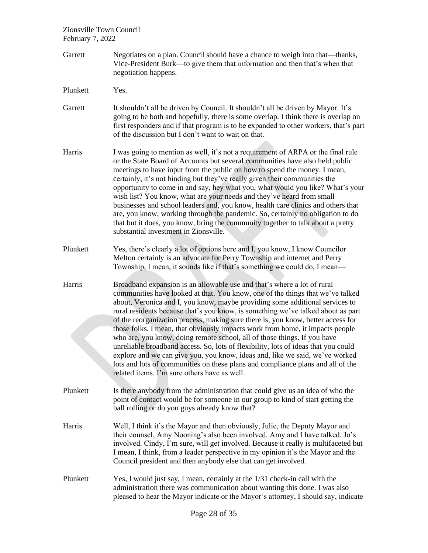- Garrett Negotiates on a plan. Council should have a chance to weigh into that—thanks, Vice-President Burk—to give them that information and then that's when that negotiation happens.
- Plunkett Yes.
- Garrett It shouldn't all be driven by Council. It shouldn't all be driven by Mayor. It's going to be both and hopefully, there is some overlap. I think there is overlap on first responders and if that program is to be expanded to other workers, that's part of the discussion but I don't want to wait on that.
- Harris I was going to mention as well, it's not a requirement of ARPA or the final rule or the State Board of Accounts but several communities have also held public meetings to have input from the public on how to spend the money. I mean, certainly, it's not binding but they've really given their communities the opportunity to come in and say, hey what you, what would you like? What's your wish list? You know, what are your needs and they've heard from small businesses and school leaders and, you know, health care clinics and others that are, you know, working through the pandemic. So, certainly no obligation to do that but it does, you know, bring the community together to talk about a pretty substantial investment in Zionsville.
- Plunkett Yes, there's clearly a lot of options here and I, you know, I know Councilor Melton certainly is an advocate for Perry Township and internet and Perry Township, I mean, it sounds like if that's something we could do, I mean—
- Harris Broadband expansion is an allowable use and that's where a lot of rural communities have looked at that. You know, one of the things that we've talked about, Veronica and I, you know, maybe providing some additional services to rural residents because that's you know, is something we've talked about as part of the reorganization process, making sure there is, you know, better access for those folks. I mean, that obviously impacts work from home, it impacts people who are, you know, doing remote school, all of those things. If you have unreliable broadband access. So, lots of flexibility, lots of ideas that you could explore and we can give you, you know, ideas and, like we said, we've worked lots and lots of communities on these plans and compliance plans and all of the related items. I'm sure others have as well.
- Plunkett Is there anybody from the administration that could give us an idea of who the point of contact would be for someone in our group to kind of start getting the ball rolling or do you guys already know that?
- Harris Well, I think it's the Mayor and then obviously, Julie, the Deputy Mayor and their counsel, Amy Nooning's also been involved. Amy and I have talked. Jo's involved. Cindy, I'm sure, will get involved. Because it really is multifaceted but I mean, I think, from a leader perspective in my opinion it's the Mayor and the Council president and then anybody else that can get involved.
- Plunkett Yes, I would just say, I mean, certainly at the 1/31 check-in call with the administration there was communication about wanting this done. I was also pleased to hear the Mayor indicate or the Mayor's attorney, I should say, indicate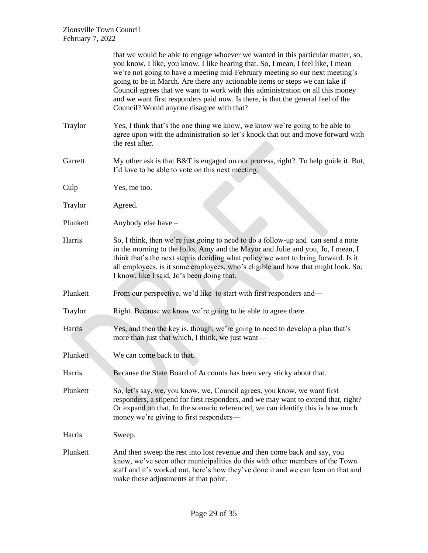|          | that we would be able to engage whoever we wanted in this particular matter, so,<br>you know, I like, you know, I like hearing that. So, I mean, I feel like, I mean<br>we're not going to have a meeting mid-February meeting so our next meeting's<br>going to be in March. Are there any actionable items or steps we can take if<br>Council agrees that we want to work with this administration on all this money<br>and we want first responders paid now. Is there, is that the general feel of the<br>Council? Would anyone disagree with that? |
|----------|---------------------------------------------------------------------------------------------------------------------------------------------------------------------------------------------------------------------------------------------------------------------------------------------------------------------------------------------------------------------------------------------------------------------------------------------------------------------------------------------------------------------------------------------------------|
| Traylor  | Yes, I think that's the one thing we know, we know we're going to be able to<br>agree upon with the administration so let's knock that out and move forward with<br>the rest after.                                                                                                                                                                                                                                                                                                                                                                     |
| Garrett  | My other ask is that B&T is engaged on our process, right? To help guide it. But,<br>I'd love to be able to vote on this next meeting.                                                                                                                                                                                                                                                                                                                                                                                                                  |
| Culp     | Yes, me too.                                                                                                                                                                                                                                                                                                                                                                                                                                                                                                                                            |
| Traylor  | Agreed.                                                                                                                                                                                                                                                                                                                                                                                                                                                                                                                                                 |
| Plunkett | Anybody else have -                                                                                                                                                                                                                                                                                                                                                                                                                                                                                                                                     |
| Harris   | So, I think, then we're just going to need to do a follow-up and can send a note<br>in the morning to the folks, Amy and the Mayor and Julie and you, Jo, I mean, I<br>think that's the next step is deciding what policy we want to bring forward. Is it<br>all employees, is it some employees, who's eligible and how that might look. So,<br>I know, like I said, Jo's been doing that.                                                                                                                                                             |
| Plunkett | From our perspective, we'd like to start with first responders and—                                                                                                                                                                                                                                                                                                                                                                                                                                                                                     |
| Traylor  | Right. Because we know we're going to be able to agree there.                                                                                                                                                                                                                                                                                                                                                                                                                                                                                           |
| Harris   | Yes, and then the key is, though, we're going to need to develop a plan that's<br>more than just that which, I think, we just want—                                                                                                                                                                                                                                                                                                                                                                                                                     |
| Plunkett | We can come back to that.                                                                                                                                                                                                                                                                                                                                                                                                                                                                                                                               |
| Harris   | Because the State Board of Accounts has been very sticky about that.                                                                                                                                                                                                                                                                                                                                                                                                                                                                                    |
| Plunkett | So, let's say, we, you know, we, Council agrees, you know, we want first<br>responders, a stipend for first responders, and we may want to extend that, right?<br>Or expand on that. In the scenario referenced, we can identify this is how much<br>money we're giving to first responders—                                                                                                                                                                                                                                                            |
| Harris   | Sweep.                                                                                                                                                                                                                                                                                                                                                                                                                                                                                                                                                  |
| Plunkett | And then sweep the rest into lost revenue and then come back and say, you<br>know, we've seen other municipalities do this with other members of the Town<br>staff and it's worked out, here's how they've done it and we can lean on that and<br>make those adjustments at that point.                                                                                                                                                                                                                                                                 |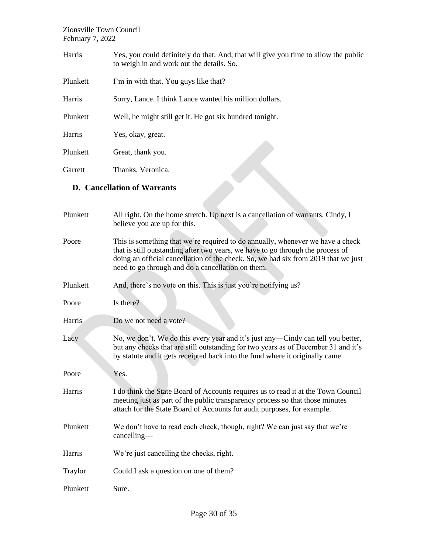| Harris   | Yes, you could definitely do that. And, that will give you time to allow the public<br>to weigh in and work out the details. So. |
|----------|----------------------------------------------------------------------------------------------------------------------------------|
| Plunkett | I'm in with that. You guys like that?                                                                                            |
| Harris   | Sorry, Lance. I think Lance wanted his million dollars.                                                                          |
| Plunkett | Well, he might still get it. He got six hundred tonight.                                                                         |
| Harris   | Yes, okay, great.                                                                                                                |
| Plunkett | Great, thank you.                                                                                                                |
| Garrett  | Thanks, Veronica.                                                                                                                |

# **D. Cancellation of Warrants**

| Galteu        | Thanks, veronica.                                                                                                                                                                                                                                                                                            |
|---------------|--------------------------------------------------------------------------------------------------------------------------------------------------------------------------------------------------------------------------------------------------------------------------------------------------------------|
|               | <b>D.</b> Cancellation of Warrants                                                                                                                                                                                                                                                                           |
|               |                                                                                                                                                                                                                                                                                                              |
| Plunkett      | All right. On the home stretch. Up next is a cancellation of warrants. Cindy, I<br>believe you are up for this.                                                                                                                                                                                              |
| Poore         | This is something that we're required to do annually, whenever we have a check<br>that is still outstanding after two years, we have to go through the process of<br>doing an official cancellation of the check. So, we had six from 2019 that we just<br>need to go through and do a cancellation on them. |
| Plunkett      | And, there's no vote on this. This is just you're notifying us?                                                                                                                                                                                                                                              |
| Poore         | Is there?                                                                                                                                                                                                                                                                                                    |
| <b>Harris</b> | Do we not need a vote?                                                                                                                                                                                                                                                                                       |
| Lacy          | No, we don't. We do this every year and it's just any—Cindy can tell you better,<br>but any checks that are still outstanding for two years as of December 31 and it's<br>by statute and it gets receipted back into the fund where it originally came.                                                      |
| Poore         | Yes.                                                                                                                                                                                                                                                                                                         |
| Harris        | I do think the State Board of Accounts requires us to read it at the Town Council<br>meeting just as part of the public transparency process so that those minutes<br>attach for the State Board of Accounts for audit purposes, for example.                                                                |
| Plunkett      | We don't have to read each check, though, right? We can just say that we're<br>cancelling                                                                                                                                                                                                                    |
| Harris        | We're just cancelling the checks, right.                                                                                                                                                                                                                                                                     |
| Traylor       | Could I ask a question on one of them?                                                                                                                                                                                                                                                                       |
| Plunkett      | Sure.                                                                                                                                                                                                                                                                                                        |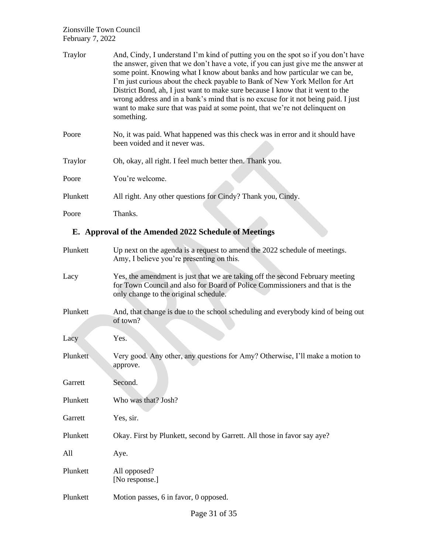| Traylor  | And, Cindy, I understand I'm kind of putting you on the spot so if you don't have<br>the answer, given that we don't have a vote, if you can just give me the answer at<br>some point. Knowing what I know about banks and how particular we can be,<br>I'm just curious about the check payable to Bank of New York Mellon for Art<br>District Bond, ah, I just want to make sure because I know that it went to the<br>wrong address and in a bank's mind that is no excuse for it not being paid. I just<br>want to make sure that was paid at some point, that we're not delinquent on<br>something. |
|----------|----------------------------------------------------------------------------------------------------------------------------------------------------------------------------------------------------------------------------------------------------------------------------------------------------------------------------------------------------------------------------------------------------------------------------------------------------------------------------------------------------------------------------------------------------------------------------------------------------------|
| Poore    | No, it was paid. What happened was this check was in error and it should have<br>been voided and it never was.                                                                                                                                                                                                                                                                                                                                                                                                                                                                                           |
| Traylor  | Oh, okay, all right. I feel much better then. Thank you.                                                                                                                                                                                                                                                                                                                                                                                                                                                                                                                                                 |
| Poore    | You're welcome.                                                                                                                                                                                                                                                                                                                                                                                                                                                                                                                                                                                          |
| Plunkett | All right. Any other questions for Cindy? Thank you, Cindy.                                                                                                                                                                                                                                                                                                                                                                                                                                                                                                                                              |
| Poore    | Thanks.                                                                                                                                                                                                                                                                                                                                                                                                                                                                                                                                                                                                  |

# **E. Approval of the Amended 2022 Schedule of Meetings**

| Plunkett | Up next on the agenda is a request to amend the 2022 schedule of meetings.<br>Amy, I believe you're presenting on this.                                                                               |
|----------|-------------------------------------------------------------------------------------------------------------------------------------------------------------------------------------------------------|
| Lacy     | Yes, the amendment is just that we are taking off the second February meeting<br>for Town Council and also for Board of Police Commissioners and that is the<br>only change to the original schedule. |
| Plunkett | And, that change is due to the school scheduling and everybody kind of being out<br>of town?                                                                                                          |
| Lacy     | Yes.                                                                                                                                                                                                  |
| Plunkett | Very good. Any other, any questions for Amy? Otherwise, I'll make a motion to<br>approve.                                                                                                             |
| Garrett  | Second.                                                                                                                                                                                               |
| Plunkett | Who was that? Josh?                                                                                                                                                                                   |
| Garrett  | Yes, sir.                                                                                                                                                                                             |
| Plunkett | Okay. First by Plunkett, second by Garrett. All those in favor say aye?                                                                                                                               |
| All      | Aye.                                                                                                                                                                                                  |
| Plunkett | All opposed?<br>[No response.]                                                                                                                                                                        |
| Plunkett | Motion passes, 6 in favor, 0 opposed.                                                                                                                                                                 |
|          |                                                                                                                                                                                                       |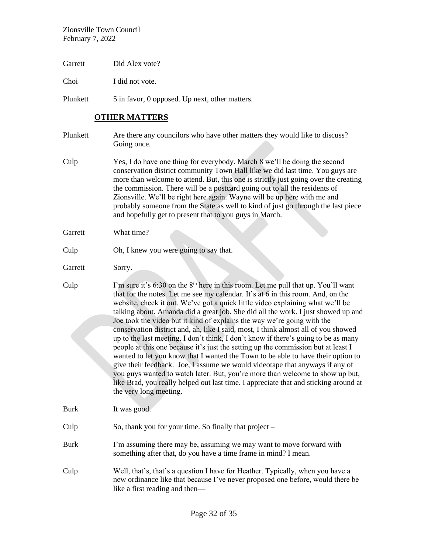Garrett Did Alex vote?

Choi I did not vote.

Plunkett 5 in favor, 0 opposed. Up next, other matters.

# **OTHER MATTERS**

| Plunkett    | Are there any councilors who have other matters they would like to discuss?<br>Going once.                                                                                                                                                                                                                                                                                                                                                                                                                                                                                                                                                                                                                                                                                                                                                                                                                                                                                                                                                                                 |
|-------------|----------------------------------------------------------------------------------------------------------------------------------------------------------------------------------------------------------------------------------------------------------------------------------------------------------------------------------------------------------------------------------------------------------------------------------------------------------------------------------------------------------------------------------------------------------------------------------------------------------------------------------------------------------------------------------------------------------------------------------------------------------------------------------------------------------------------------------------------------------------------------------------------------------------------------------------------------------------------------------------------------------------------------------------------------------------------------|
| Culp        | Yes, I do have one thing for everybody. March 8 we'll be doing the second<br>conservation district community Town Hall like we did last time. You guys are<br>more than welcome to attend. But, this one is strictly just going over the creating<br>the commission. There will be a postcard going out to all the residents of<br>Zionsville. We'll be right here again. Wayne will be up here with me and<br>probably someone from the State as well to kind of just go through the last piece<br>and hopefully get to present that to you guys in March.                                                                                                                                                                                                                                                                                                                                                                                                                                                                                                                |
| Garrett     | What time?                                                                                                                                                                                                                                                                                                                                                                                                                                                                                                                                                                                                                                                                                                                                                                                                                                                                                                                                                                                                                                                                 |
| Culp        | Oh, I knew you were going to say that.                                                                                                                                                                                                                                                                                                                                                                                                                                                                                                                                                                                                                                                                                                                                                                                                                                                                                                                                                                                                                                     |
| Garrett     | Sorry.                                                                                                                                                                                                                                                                                                                                                                                                                                                                                                                                                                                                                                                                                                                                                                                                                                                                                                                                                                                                                                                                     |
| Culp        | I'm sure it's 6:30 on the 8 <sup>th</sup> here in this room. Let me pull that up. You'll want<br>that for the notes. Let me see my calendar. It's at 6 in this room. And, on the<br>website, check it out. We've got a quick little video explaining what we'll be<br>talking about. Amanda did a great job. She did all the work. I just showed up and<br>Joe took the video but it kind of explains the way we're going with the<br>conservation district and, ah, like I said, most, I think almost all of you showed<br>up to the last meeting. I don't think, I don't know if there's going to be as many<br>people at this one because it's just the setting up the commission but at least I<br>wanted to let you know that I wanted the Town to be able to have their option to<br>give their feedback. Joe, I assume we would videotape that anyways if any of<br>you guys wanted to watch later. But, you're more than welcome to show up but,<br>like Brad, you really helped out last time. I appreciate that and sticking around at<br>the very long meeting. |
| Burk        | It was good.                                                                                                                                                                                                                                                                                                                                                                                                                                                                                                                                                                                                                                                                                                                                                                                                                                                                                                                                                                                                                                                               |
| Culp        | So, thank you for your time. So finally that project –                                                                                                                                                                                                                                                                                                                                                                                                                                                                                                                                                                                                                                                                                                                                                                                                                                                                                                                                                                                                                     |
| <b>Burk</b> | I'm assuming there may be, assuming we may want to move forward with<br>something after that, do you have a time frame in mind? I mean.                                                                                                                                                                                                                                                                                                                                                                                                                                                                                                                                                                                                                                                                                                                                                                                                                                                                                                                                    |
| Culp        | Well, that's, that's a question I have for Heather. Typically, when you have a<br>new ordinance like that because I've never proposed one before, would there be<br>like a first reading and then—                                                                                                                                                                                                                                                                                                                                                                                                                                                                                                                                                                                                                                                                                                                                                                                                                                                                         |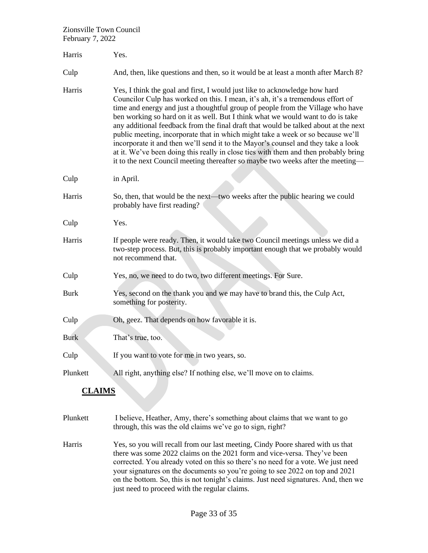| Harris      | Yes.                                                                                                                                                                                                                                                                                                                                                                                                                                                                                                                                                                                                                                                                                                                                                                         |
|-------------|------------------------------------------------------------------------------------------------------------------------------------------------------------------------------------------------------------------------------------------------------------------------------------------------------------------------------------------------------------------------------------------------------------------------------------------------------------------------------------------------------------------------------------------------------------------------------------------------------------------------------------------------------------------------------------------------------------------------------------------------------------------------------|
| Culp        | And, then, like questions and then, so it would be at least a month after March 8?                                                                                                                                                                                                                                                                                                                                                                                                                                                                                                                                                                                                                                                                                           |
| Harris      | Yes, I think the goal and first, I would just like to acknowledge how hard<br>Councilor Culp has worked on this. I mean, it's ah, it's a tremendous effort of<br>time and energy and just a thoughtful group of people from the Village who have<br>ben working so hard on it as well. But I think what we would want to do is take<br>any additional feedback from the final draft that would be talked about at the next<br>public meeting, incorporate that in which might take a week or so because we'll<br>incorporate it and then we'll send it to the Mayor's counsel and they take a look<br>at it. We've been doing this really in close ties with them and then probably bring<br>it to the next Council meeting thereafter so maybe two weeks after the meeting- |
| Culp        | in April.                                                                                                                                                                                                                                                                                                                                                                                                                                                                                                                                                                                                                                                                                                                                                                    |
| Harris      | So, then, that would be the next—two weeks after the public hearing we could<br>probably have first reading?                                                                                                                                                                                                                                                                                                                                                                                                                                                                                                                                                                                                                                                                 |
| Culp        | Yes.                                                                                                                                                                                                                                                                                                                                                                                                                                                                                                                                                                                                                                                                                                                                                                         |
| Harris      | If people were ready. Then, it would take two Council meetings unless we did a<br>two-step process. But, this is probably important enough that we probably would<br>not recommend that.                                                                                                                                                                                                                                                                                                                                                                                                                                                                                                                                                                                     |
| Culp        | Yes, no, we need to do two, two different meetings. For Sure.                                                                                                                                                                                                                                                                                                                                                                                                                                                                                                                                                                                                                                                                                                                |
| <b>Burk</b> | Yes, second on the thank you and we may have to brand this, the Culp Act,<br>something for posterity.                                                                                                                                                                                                                                                                                                                                                                                                                                                                                                                                                                                                                                                                        |
| Culp        | Oh, geez. That depends on how favorable it is.                                                                                                                                                                                                                                                                                                                                                                                                                                                                                                                                                                                                                                                                                                                               |
| <b>Burk</b> | That's true, too.                                                                                                                                                                                                                                                                                                                                                                                                                                                                                                                                                                                                                                                                                                                                                            |
| Culp        | If you want to vote for me in two years, so.                                                                                                                                                                                                                                                                                                                                                                                                                                                                                                                                                                                                                                                                                                                                 |
| Plunkett    | All right, anything else? If nothing else, we'll move on to claims.                                                                                                                                                                                                                                                                                                                                                                                                                                                                                                                                                                                                                                                                                                          |

# **CLAIMS**

- Plunkett I believe, Heather, Amy, there's something about claims that we want to go through, this was the old claims we've go to sign, right?
- Harris Yes, so you will recall from our last meeting, Cindy Poore shared with us that there was some 2022 claims on the 2021 form and vice-versa. They've been corrected. You already voted on this so there's no need for a vote. We just need your signatures on the documents so you're going to see 2022 on top and 2021 on the bottom. So, this is not tonight's claims. Just need signatures. And, then we just need to proceed with the regular claims.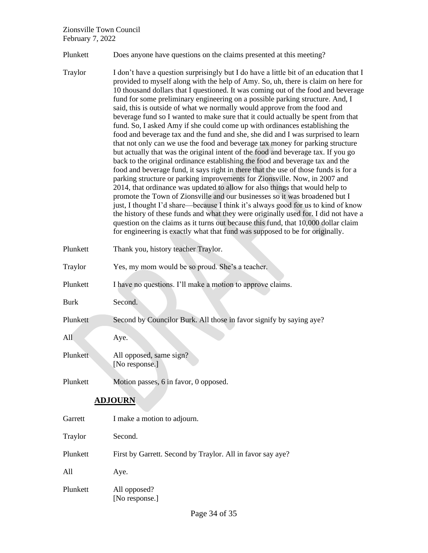Plunkett Does anyone have questions on the claims presented at this meeting?

- Traylor I don't have a question surprisingly but I do have a little bit of an education that I provided to myself along with the help of Amy. So, uh, there is claim on here for 10 thousand dollars that I questioned. It was coming out of the food and beverage fund for some preliminary engineering on a possible parking structure. And, I said, this is outside of what we normally would approve from the food and beverage fund so I wanted to make sure that it could actually be spent from that fund. So, I asked Amy if she could come up with ordinances establishing the food and beverage tax and the fund and she, she did and I was surprised to learn that not only can we use the food and beverage tax money for parking structure but actually that was the original intent of the food and beverage tax. If you go back to the original ordinance establishing the food and beverage tax and the food and beverage fund, it says right in there that the use of those funds is for a parking structure or parking improvements for Zionsville. Now, in 2007 and 2014, that ordinance was updated to allow for also things that would help to promote the Town of Zionsville and our businesses so it was broadened but I just, I thought I'd share—because I think it's always good for us to kind of know the history of these funds and what they were originally used for. I did not have a question on the claims as it turns out because this fund, that 10,000 dollar claim for engineering is exactly what that fund was supposed to be for originally. Plunkett Thank you, history teacher Traylor. Traylor Yes, my mom would be so proud. She's a teacher. Plunkett I have no questions. I'll make a motion to approve claims. Burk Second. Plunkett Second by Councilor Burk. All those in favor signify by saying aye? All Aye.
- Plunkett All opposed, same sign? [No response.]
- Plunkett Motion passes, 6 in favor, 0 opposed.

## **ADJOURN**

| Garrett  | I make a motion to adjourn.                                |
|----------|------------------------------------------------------------|
| Traylor  | Second.                                                    |
| Plunkett | First by Garrett. Second by Traylor. All in favor say aye? |
| A11      | Aye.                                                       |
| Plunkett | All opposed?<br>[No response.]                             |